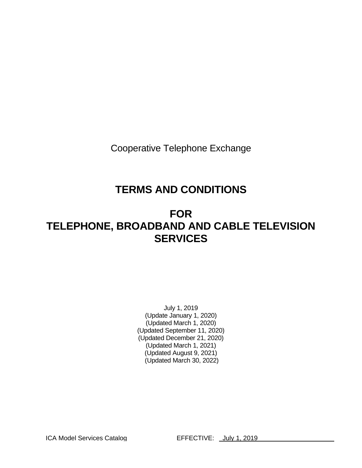Cooperative Telephone Exchange

# **TERMS AND CONDITIONS**

# **FOR TELEPHONE, BROADBAND AND CABLE TELEVISION SERVICES**

July 1, 2019 (Update January 1, 2020) (Updated March 1, 2020) (Updated September 11, 2020) (Updated December 21, 2020) (Updated March 1, 2021) (Updated August 9, 2021) (Updated March 30, 2022)

ICA Model Services Catalog **EFFECTIVE:** July 1, 2019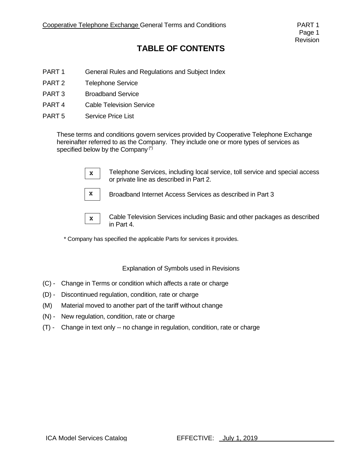# **TABLE OF CONTENTS**

- PART 1 General Rules and Regulations and Subject Index
- PART 2 Telephone Service
- PART 3 Broadband Service
- PART 4 Cable Television Service
- PART 5 Service Price List

These terms and conditions govern services provided by Cooperative Telephone Exchange hereinafter referred to as the Company. They include one or more types of services as specified below by the Company<sup>(\*)</sup>



Telephone Services, including local service, toll service and special access or private line as described in Part 2.



Broadband Internet Access Services as described in Part 3



Cable Television Services including Basic and other packages as described in Part 4.

\* Company has specified the applicable Parts for services it provides.

Explanation of Symbols used in Revisions

- (C) Change in Terms or condition which affects a rate or charge
- (D) Discontinued regulation, condition, rate or charge
- (M) Material moved to another part of the tariff without change
- (N) New regulation, condition, rate or charge
- (T) Change in text only -- no change in regulation, condition, rate or charge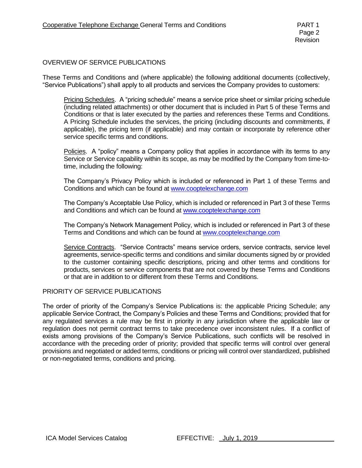#### OVERVIEW OF SERVICE PUBLICATIONS

These Terms and Conditions and (where applicable) the following additional documents (collectively, "Service Publications") shall apply to all products and services the Company provides to customers:

Pricing Schedules. A "pricing schedule" means a service price sheet or similar pricing schedule (including related attachments) or other document that is included in Part 5 of these Terms and Conditions or that is later executed by the parties and references these Terms and Conditions. A Pricing Schedule includes the services, the pricing (including discounts and commitments, if applicable), the pricing term (if applicable) and may contain or incorporate by reference other service specific terms and conditions.

Policies. A "policy" means a Company policy that applies in accordance with its terms to any Service or Service capability within its scope, as may be modified by the Company from time-totime, including the following:

The Company's Privacy Policy which is included or referenced in Part 1 of these Terms and Conditions and which can be found at [www.cooptelexchange.com](http://www.cooptelexchange.com/)

The Company's Acceptable Use Policy, which is included or referenced in Part 3 of these Terms and Conditions and which can be found at [www.cooptelexchange.com](http://www.cooptelexchange.com/)

The Company's Network Management Policy, which is included or referenced in Part 3 of these Terms and Conditions and which can be found at [www.cooptelexchange.com](http://www.cooptelexchange.com/)

Service Contracts. "Service Contracts" means service orders, service contracts, service level agreements, service-specific terms and conditions and similar documents signed by or provided to the customer containing specific descriptions, pricing and other terms and conditions for products, services or service components that are not covered by these Terms and Conditions or that are in addition to or different from these Terms and Conditions.

#### PRIORITY OF SERVICE PUBLICATIONS

The order of priority of the Company's Service Publications is: the applicable Pricing Schedule; any applicable Service Contract, the Company's Policies and these Terms and Conditions; provided that for any regulated services a rule may be first in priority in any jurisdiction where the applicable law or regulation does not permit contract terms to take precedence over inconsistent rules. If a conflict of exists among provisions of the Company's Service Publications, such conflicts will be resolved in accordance with the preceding order of priority; provided that specific terms will control over general provisions and negotiated or added terms, conditions or pricing will control over standardized, published or non-negotiated terms, conditions and pricing.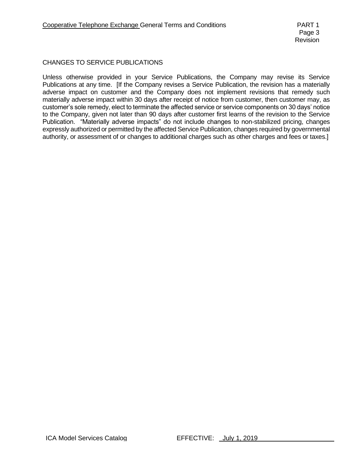#### CHANGES TO SERVICE PUBLICATIONS

Unless otherwise provided in your Service Publications, the Company may revise its Service Publications at any time. [If the Company revises a Service Publication, the revision has a materially adverse impact on customer and the Company does not implement revisions that remedy such materially adverse impact within 30 days after receipt of notice from customer, then customer may, as customer's sole remedy, elect to terminate the affected service or service components on 30 days' notice to the Company, given not later than 90 days after customer first learns of the revision to the Service Publication. "Materially adverse impacts" do not include changes to non-stabilized pricing, changes expressly authorized or permitted by the affected Service Publication, changes required by governmental authority, or assessment of or changes to additional charges such as other charges and fees or taxes.]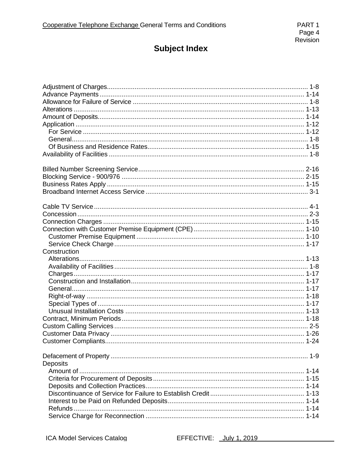| Construction |  |
|--------------|--|
|              |  |
|              |  |
|              |  |
|              |  |
|              |  |
|              |  |
|              |  |
|              |  |
|              |  |
|              |  |
|              |  |
|              |  |
|              |  |
|              |  |
| Deposits     |  |
|              |  |
|              |  |
|              |  |
|              |  |
|              |  |
|              |  |
|              |  |
|              |  |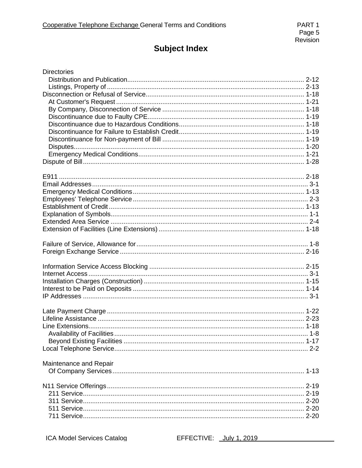| <b>Directories</b>     |  |
|------------------------|--|
|                        |  |
|                        |  |
|                        |  |
|                        |  |
|                        |  |
|                        |  |
|                        |  |
|                        |  |
|                        |  |
|                        |  |
|                        |  |
|                        |  |
|                        |  |
|                        |  |
|                        |  |
|                        |  |
|                        |  |
|                        |  |
|                        |  |
|                        |  |
|                        |  |
|                        |  |
|                        |  |
|                        |  |
|                        |  |
|                        |  |
|                        |  |
|                        |  |
|                        |  |
|                        |  |
|                        |  |
|                        |  |
|                        |  |
|                        |  |
|                        |  |
|                        |  |
|                        |  |
|                        |  |
| Maintenance and Repair |  |
|                        |  |
|                        |  |
|                        |  |
|                        |  |
|                        |  |
|                        |  |
|                        |  |
|                        |  |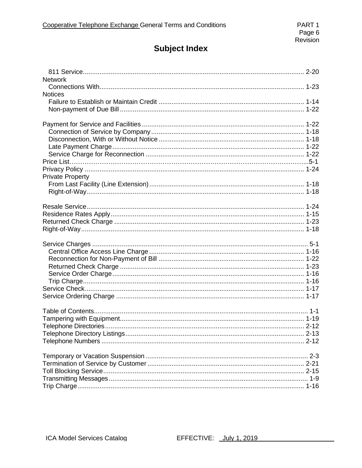| <b>Network</b>          |  |
|-------------------------|--|
|                         |  |
| <b>Notices</b>          |  |
|                         |  |
|                         |  |
|                         |  |
|                         |  |
|                         |  |
|                         |  |
|                         |  |
|                         |  |
|                         |  |
|                         |  |
| <b>Private Property</b> |  |
|                         |  |
|                         |  |
|                         |  |
|                         |  |
|                         |  |
|                         |  |
|                         |  |
|                         |  |
|                         |  |
|                         |  |
|                         |  |
|                         |  |
|                         |  |
|                         |  |
|                         |  |
|                         |  |
|                         |  |
|                         |  |
|                         |  |
|                         |  |
|                         |  |
|                         |  |
|                         |  |
|                         |  |
|                         |  |
|                         |  |
|                         |  |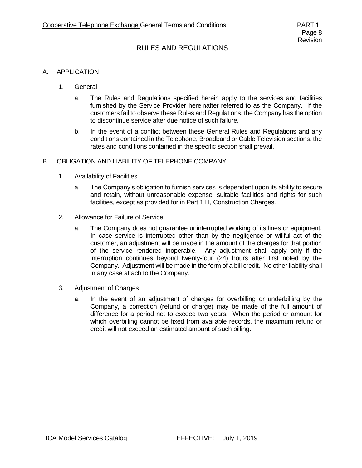#### A. APPLICATION

- 1. General
	- a. The Rules and Regulations specified herein apply to the services and facilities furnished by the Service Provider hereinafter referred to as the Company. If the customers fail to observe these Rules and Regulations, the Company has the option to discontinue service after due notice of such failure.
	- b. In the event of a conflict between these General Rules and Regulations and any conditions contained in the Telephone, Broadband or Cable Television sections, the rates and conditions contained in the specific section shall prevail.

#### B. OBLIGATION AND LIABILITY OF TELEPHONE COMPANY

- 1. Availability of Facilities
	- a. The Company's obligation to furnish services is dependent upon its ability to secure and retain, without unreasonable expense, suitable facilities and rights for such facilities, except as provided for in Part 1 H, Construction Charges.
- 2. Allowance for Failure of Service
	- a. The Company does not guarantee uninterrupted working of its lines or equipment. In case service is interrupted other than by the negligence or willful act of the customer, an adjustment will be made in the amount of the charges for that portion of the service rendered inoperable. Any adjustment shall apply only if the interruption continues beyond twenty-four (24) hours after first noted by the Company. Adjustment will be made in the form of a bill credit. No other liability shall in any case attach to the Company.
- 3. Adjustment of Charges
	- a. In the event of an adjustment of charges for overbilling or underbilling by the Company, a correction (refund or charge) may be made of the full amount of difference for a period not to exceed two years. When the period or amount for which overbilling cannot be fixed from available records, the maximum refund or credit will not exceed an estimated amount of such billing.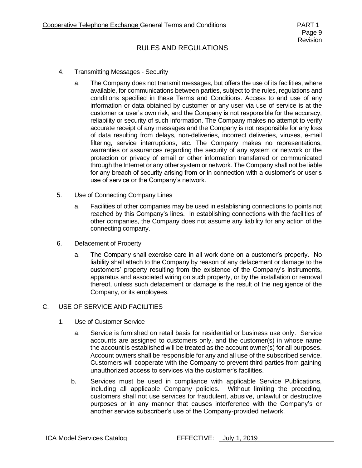- 4. Transmitting Messages Security
	- a. The Company does not transmit messages, but offers the use of its facilities, where available, for communications between parties, subject to the rules, regulations and conditions specified in these Terms and Conditions. Access to and use of any information or data obtained by customer or any user via use of service is at the customer or user's own risk, and the Company is not responsible for the accuracy, reliability or security of such information. The Company makes no attempt to verify accurate receipt of any messages and the Company is not responsible for any loss of data resulting from delays, non-deliveries, incorrect deliveries, viruses, e-mail filtering, service interruptions, etc. The Company makes no representations, warranties or assurances regarding the security of any system or network or the protection or privacy of email or other information transferred or communicated through the Internet or any other system or network. The Company shall not be liable for any breach of security arising from or in connection with a customer's or user's use of service or the Company's network.
- 5. Use of Connecting Company Lines
	- a. Facilities of other companies may be used in establishing connections to points not reached by this Company's lines. In establishing connections with the facilities of other companies, the Company does not assume any liability for any action of the connecting company.
- 6. Defacement of Property
	- a. The Company shall exercise care in all work done on a customer's property. No liability shall attach to the Company by reason of any defacement or damage to the customers' property resulting from the existence of the Company's instruments, apparatus and associated wiring on such property, or by the installation or removal thereof, unless such defacement or damage is the result of the negligence of the Company, or its employees.

#### C. USE OF SERVICE AND FACILITIES

- 1. Use of Customer Service
	- a. Service is furnished on retail basis for residential or business use only. Service accounts are assigned to customers only, and the customer(s) in whose name the account is established will be treated as the account owner(s) for all purposes. Account owners shall be responsible for any and all use of the subscribed service. Customers will cooperate with the Company to prevent third parties from gaining unauthorized access to services via the customer's facilities.
	- b. Services must be used in compliance with applicable Service Publications, including all applicable Company policies. Without limiting the preceding, customers shall not use services for fraudulent, abusive, unlawful or destructive purposes or in any manner that causes interference with the Company's or another service subscriber's use of the Company-provided network.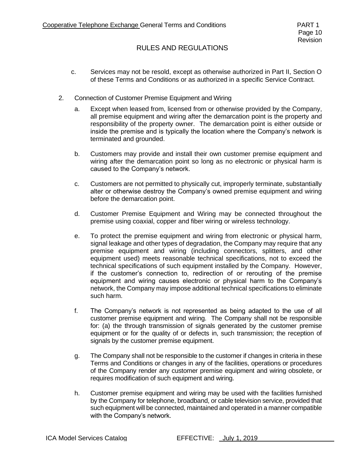- c. Services may not be resold, except as otherwise authorized in Part II, Section O of these Terms and Conditions or as authorized in a specific Service Contract.
- 2. Connection of Customer Premise Equipment and Wiring
	- a. Except when leased from, licensed from or otherwise provided by the Company, all premise equipment and wiring after the demarcation point is the property and responsibility of the property owner. The demarcation point is either outside or inside the premise and is typically the location where the Company's network is terminated and grounded.
	- b. Customers may provide and install their own customer premise equipment and wiring after the demarcation point so long as no electronic or physical harm is caused to the Company's network.
	- c. Customers are not permitted to physically cut, improperly terminate, substantially alter or otherwise destroy the Company's owned premise equipment and wiring before the demarcation point.
	- d. Customer Premise Equipment and Wiring may be connected throughout the premise using coaxial, copper and fiber wiring or wireless technology.
	- e. To protect the premise equipment and wiring from electronic or physical harm, signal leakage and other types of degradation, the Company may require that any premise equipment and wiring (including connectors, splitters, and other equipment used) meets reasonable technical specifications, not to exceed the technical specifications of such equipment installed by the Company. However, if the customer's connection to, redirection of or rerouting of the premise equipment and wiring causes electronic or physical harm to the Company's network, the Company may impose additional technical specifications to eliminate such harm.
	- f. The Company's network is not represented as being adapted to the use of all customer premise equipment and wiring. The Company shall not be responsible for: (a) the through transmission of signals generated by the customer premise equipment or for the quality of or defects in, such transmission; the reception of signals by the customer premise equipment.
	- g. The Company shall not be responsible to the customer if changes in criteria in these Terms and Conditions or changes in any of the facilities, operations or procedures of the Company render any customer premise equipment and wiring obsolete, or requires modification of such equipment and wiring.
	- h. Customer premise equipment and wiring may be used with the facilities furnished by the Company for telephone, broadband, or cable television service, provided that such equipment will be connected, maintained and operated in a manner compatible with the Company's network.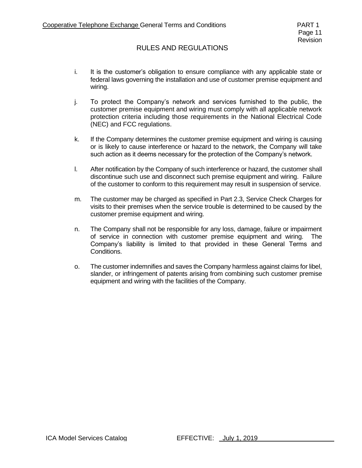- i. It is the customer's obligation to ensure compliance with any applicable state or federal laws governing the installation and use of customer premise equipment and wiring.
- j. To protect the Company's network and services furnished to the public, the customer premise equipment and wiring must comply with all applicable network protection criteria including those requirements in the National Electrical Code (NEC) and FCC regulations.
- k. If the Company determines the customer premise equipment and wiring is causing or is likely to cause interference or hazard to the network, the Company will take such action as it deems necessary for the protection of the Company's network.
- l. After notification by the Company of such interference or hazard, the customer shall discontinue such use and disconnect such premise equipment and wiring. Failure of the customer to conform to this requirement may result in suspension of service.
- m. The customer may be charged as specified in Part 2.3, Service Check Charges for visits to their premises when the service trouble is determined to be caused by the customer premise equipment and wiring.
- n. The Company shall not be responsible for any loss, damage, failure or impairment of service in connection with customer premise equipment and wiring. The Company's liability is limited to that provided in these General Terms and Conditions.
- o. The customer indemnifies and saves the Company harmless against claims for libel, slander, or infringement of patents arising from combining such customer premise equipment and wiring with the facilities of the Company.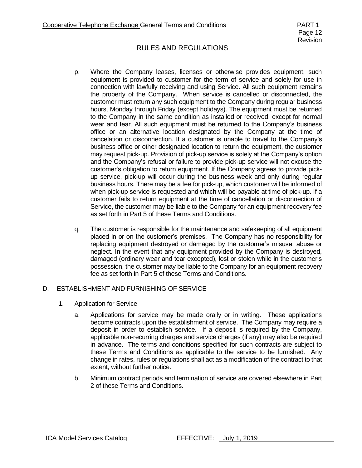- p. Where the Company leases, licenses or otherwise provides equipment, such equipment is provided to customer for the term of service and solely for use in connection with lawfully receiving and using Service. All such equipment remains the property of the Company. When service is cancelled or disconnected, the customer must return any such equipment to the Company during regular business hours, Monday through Friday (except holidays). The equipment must be returned to the Company in the same condition as installed or received, except for normal wear and tear. All such equipment must be returned to the Company's business office or an alternative location designated by the Company at the time of cancelation or disconnection. If a customer is unable to travel to the Company's business office or other designated location to return the equipment, the customer may request pick-up. Provision of pick-up service is solely at the Company's option and the Company's refusal or failure to provide pick-up service will not excuse the customer's obligation to return equipment. If the Company agrees to provide pickup service, pick-up will occur during the business week and only during regular business hours. There may be a fee for pick-up, which customer will be informed of when pick-up service is requested and which will be payable at time of pick-up. If a customer fails to return equipment at the time of cancellation or disconnection of Service, the customer may be liable to the Company for an equipment recovery fee as set forth in Part 5 of these Terms and Conditions.
- q. The customer is responsible for the maintenance and safekeeping of all equipment placed in or on the customer's premises. The Company has no responsibility for replacing equipment destroyed or damaged by the customer's misuse, abuse or neglect. In the event that any equipment provided by the Company is destroyed, damaged (ordinary wear and tear excepted), lost or stolen while in the customer's possession, the customer may be liable to the Company for an equipment recovery fee as set forth in Part 5 of these Terms and Conditions.

#### D. ESTABLISHMENT AND FURNISHING OF SERVICE

- 1. Application for Service
	- a. Applications for service may be made orally or in writing. These applications become contracts upon the establishment of service. The Company may require a deposit in order to establish service. If a deposit is required by the Company, applicable non-recurring charges and service charges (if any) may also be required in advance. The terms and conditions specified for such contracts are subject to these Terms and Conditions as applicable to the service to be furnished. Any change in rates, rules or regulations shall act as a modification of the contract to that extent, without further notice.
	- b. Minimum contract periods and termination of service are covered elsewhere in Part 2 of these Terms and Conditions.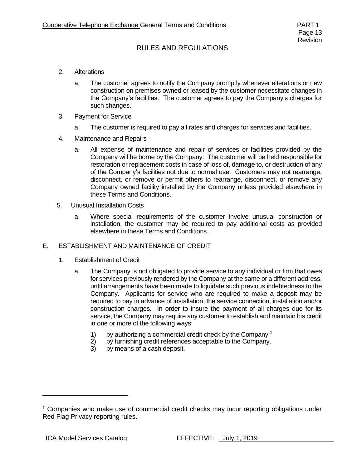- 2. Alterations
	- a. The customer agrees to notify the Company promptly whenever alterations or new construction on premises owned or leased by the customer necessitate changes in the Company's facilities. The customer agrees to pay the Company's charges for such changes.
- 3. Payment for Service
	- a. The customer is required to pay all rates and charges for services and facilities.
- 4. Maintenance and Repairs
	- a. All expense of maintenance and repair of services or facilities provided by the Company will be borne by the Company. The customer will be held responsible for restoration or replacement costs in case of loss of, damage to, or destruction of any of the Company's facilities not due to normal use. Customers may not rearrange, disconnect, or remove or permit others to rearrange, disconnect, or remove any Company owned facility installed by the Company unless provided elsewhere in these Terms and Conditions.
- 5. Unusual Installation Costs
	- a. Where special requirements of the customer involve unusual construction or installation, the customer may be required to pay additional costs as provided elsewhere in these Terms and Conditions.

#### E. ESTABLISHMENT AND MAINTENANCE OF CREDIT

- 1. Establishment of Credit
	- a. The Company is not obligated to provide service to any individual or firm that owes for services previously rendered by the Company at the same or a different address, until arrangements have been made to liquidate such previous indebtedness to the Company. Applicants for service who are required to make a deposit may be required to pay in advance of installation, the service connection, installation and/or construction charges. In order to insure the payment of all charges due for its service, the Company may require any customer to establish and maintain his credit in one or more of the following ways:
		- 1) by authorizing a commercial credit check by the Company **<sup>1</sup>**
		- 2) by furnishing credit references acceptable to the Company.
		- 3) by means of a cash deposit.

 $1$  Companies who make use of commercial credit checks may incur reporting obligations under Red Flag Privacy reporting rules.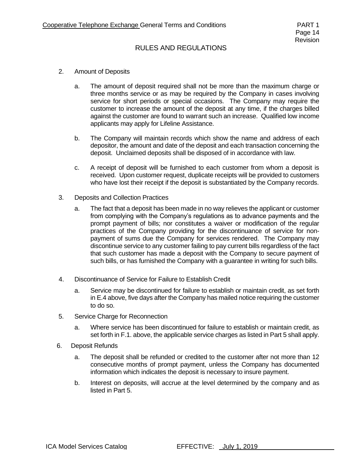- 2. Amount of Deposits
	- a. The amount of deposit required shall not be more than the maximum charge or three months service or as may be required by the Company in cases involving service for short periods or special occasions. The Company may require the customer to increase the amount of the deposit at any time, if the charges billed against the customer are found to warrant such an increase. Qualified low income applicants may apply for Lifeline Assistance.
	- b. The Company will maintain records which show the name and address of each depositor, the amount and date of the deposit and each transaction concerning the deposit. Unclaimed deposits shall be disposed of in accordance with law.
	- c. A receipt of deposit will be furnished to each customer from whom a deposit is received. Upon customer request, duplicate receipts will be provided to customers who have lost their receipt if the deposit is substantiated by the Company records.
- 3. Deposits and Collection Practices
	- a. The fact that a deposit has been made in no way relieves the applicant or customer from complying with the Company's regulations as to advance payments and the prompt payment of bills; nor constitutes a waiver or modification of the regular practices of the Company providing for the discontinuance of service for nonpayment of sums due the Company for services rendered. The Company may discontinue service to any customer failing to pay current bills regardless of the fact that such customer has made a deposit with the Company to secure payment of such bills, or has furnished the Company with a guarantee in writing for such bills.
- 4. Discontinuance of Service for Failure to Establish Credit
	- a. Service may be discontinued for failure to establish or maintain credit, as set forth in E.4 above, five days after the Company has mailed notice requiring the customer to do so.
- 5. Service Charge for Reconnection
	- a. Where service has been discontinued for failure to establish or maintain credit, as set forth in F.1. above, the applicable service charges as listed in Part 5 shall apply.
- 6. Deposit Refunds
	- a. The deposit shall be refunded or credited to the customer after not more than 12 consecutive months of prompt payment, unless the Company has documented information which indicates the deposit is necessary to insure payment.
	- b. Interest on deposits, will accrue at the level determined by the company and as listed in Part 5.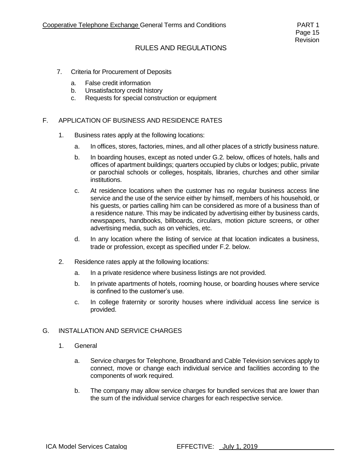- 7. Criteria for Procurement of Deposits
	- a. False credit information
	- b. Unsatisfactory credit history
	- c. Requests for special construction or equipment

#### F. APPLICATION OF BUSINESS AND RESIDENCE RATES

- 1. Business rates apply at the following locations:
	- a. In offices, stores, factories, mines, and all other places of a strictly business nature.
	- b. In boarding houses, except as noted under G.2. below, offices of hotels, halls and offices of apartment buildings; quarters occupied by clubs or lodges; public, private or parochial schools or colleges, hospitals, libraries, churches and other similar institutions.
	- c. At residence locations when the customer has no regular business access line service and the use of the service either by himself, members of his household, or his guests, or parties calling him can be considered as more of a business than of a residence nature. This may be indicated by advertising either by business cards, newspapers, handbooks, billboards, circulars, motion picture screens, or other advertising media, such as on vehicles, etc.
	- d. In any location where the listing of service at that location indicates a business, trade or profession, except as specified under F.2. below.
- 2. Residence rates apply at the following locations:
	- a. In a private residence where business listings are not provided.
	- b. In private apartments of hotels, rooming house, or boarding houses where service is confined to the customer's use.
	- c. In college fraternity or sorority houses where individual access line service is provided.

#### G. INSTALLATION AND SERVICE CHARGES

- 1. General
	- a. Service charges for Telephone, Broadband and Cable Television services apply to connect, move or change each individual service and facilities according to the components of work required.
	- b. The company may allow service charges for bundled services that are lower than the sum of the individual service charges for each respective service.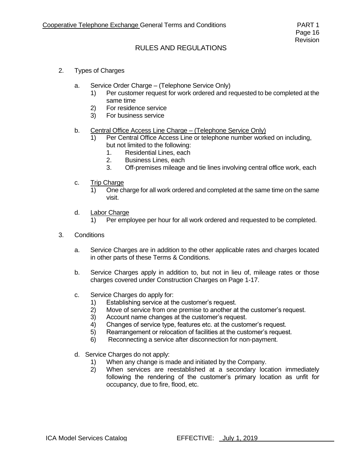- 2. Types of Charges
	- a. Service Order Charge (Telephone Service Only)
		- 1) Per customer request for work ordered and requested to be completed at the same time
		- 2) For residence service
		- 3) For business service
	- b. Central Office Access Line Charge (Telephone Service Only)
		- 1) Per Central Office Access Line or telephone number worked on including, but not limited to the following:
			- 1. Residential Lines, each
			- 2. Business Lines, each
			- 3. Off-premises mileage and tie lines involving central office work, each
	- c. Trip Charge
		- 1) One charge for all work ordered and completed at the same time on the same visit.
	- d. Labor Charge
		- 1) Per employee per hour for all work ordered and requested to be completed.
- 3. Conditions
	- a. Service Charges are in addition to the other applicable rates and charges located in other parts of these Terms & Conditions.
	- b. Service Charges apply in addition to, but not in lieu of, mileage rates or those charges covered under Construction Charges on Page 1-17.
	- c. Service Charges do apply for:
		- 1) Establishing service at the customer's request.
		- 2) Move of service from one premise to another at the customer's request.
		- 3) Account name changes at the customer's request.
		- 4) Changes of service type, features etc. at the customer's request.
		- 5) Rearrangement or relocation of facilities at the customer's request.
		- 6) Reconnecting a service after disconnection for non-payment.
	- d. Service Charges do not apply:
		- 1) When any change is made and initiated by the Company.
		- 2) When services are reestablished at a secondary location immediately following the rendering of the customer's primary location as unfit for occupancy, due to fire, flood, etc.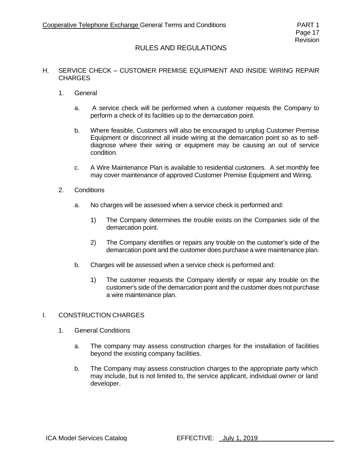#### H. SERVICE CHECK – CUSTOMER PREMISE EQUIPMENT AND INSIDE WIRING REPAIR **CHARGES**

- 1. General
	- a. A service check will be performed when a customer requests the Company to perform a check of its facilities up to the demarcation point.
	- b. Where feasible, Customers will also be encouraged to unplug Customer Premise Equipment or disconnect all inside wiring at the demarcation point so as to selfdiagnose where their wiring or equipment may be causing an out of service condition.
	- c. A Wire Maintenance Plan is available to residential customers. A set monthly fee may cover maintenance of approved Customer Premise Equipment and Wiring.
- 2. Conditions
	- a. No charges will be assessed when a service check is performed and:
		- 1) The Company determines the trouble exists on the Companies side of the demarcation point.
		- 2) The Company identifies or repairs any trouble on the customer's side of the demarcation point and the customer does purchase a wire maintenance plan.
	- b. Charges will be assessed when a service check is performed and:
		- 1) The customer requests the Company identify or repair any trouble on the customer's side of the demarcation point and the customer does not purchase a wire maintenance plan.

#### I. CONSTRUCTION CHARGES

- 1. General Conditions
	- a. The company may assess construction charges for the installation of facilities beyond the existing company facilities.
	- b. The Company may assess construction charges to the appropriate party which may include, but is not limited to, the service applicant, individual owner or land developer.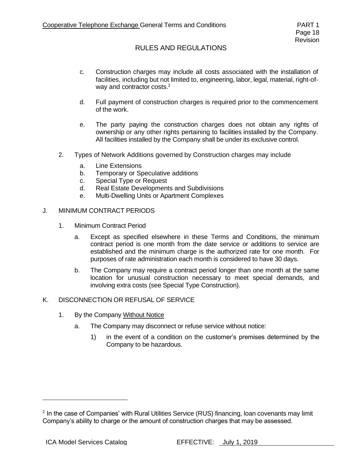- c. Construction charges may include all costs associated with the installation of facilities, including but not limited to, engineering, labor, legal, material, right-ofway and contractor costs.<sup>2</sup>
- d. Full payment of construction charges is required prior to the commencement of the work.
- e. The party paying the construction charges does not obtain any rights of ownership or any other rights pertaining to facilities installed by the Company. All facilities installed by the Company shall be under its exclusive control.
- 2. Types of Network Additions governed by Construction charges may include
	- a. Line Extensions
	- b. Temporary or Speculative additions
	- c. Special Type or Request
	- d. Real Estate Developments and Subdivisions
	- e. Multi-Dwelling Units or Apartment Complexes

#### J. MINIMUM CONTRACT PERIODS

- 1. Minimum Contract Period
	- a. Except as specified elsewhere in these Terms and Conditions, the minimum contract period is one month from the date service or additions to service are established and the minimum charge is the authorized rate for one month. For purposes of rate administration each month is considered to have 30 days.
	- b. The Company may require a contract period longer than one month at the same location for unusual construction necessary to meet special demands, and involving extra costs (see Special Type Construction).

#### K. DISCONNECTION OR REFUSAL OF SERVICE

- 1. By the Company Without Notice
	- a. The Company may disconnect or refuse service without notice:
		- 1) in the event of a condition on the customer's premises determined by the Company to be hazardous.

<sup>&</sup>lt;sup>2</sup> In the case of Companies' with Rural Utilities Service (RUS) financing, loan covenants may limit Company's ability to charge or the amount of construction charges that may be assessed.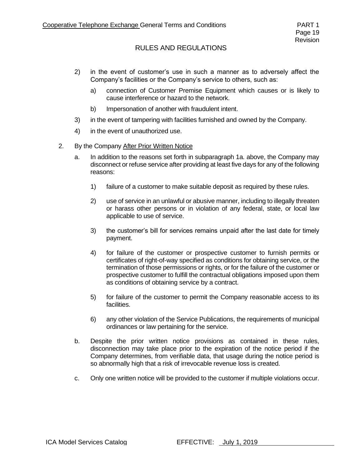- 2) in the event of customer's use in such a manner as to adversely affect the Company's facilities or the Company's service to others, such as:
	- a) connection of Customer Premise Equipment which causes or is likely to cause interference or hazard to the network.
	- b) Impersonation of another with fraudulent intent.
- 3) in the event of tampering with facilities furnished and owned by the Company.
- 4) in the event of unauthorized use.
- 2. By the Company After Prior Written Notice
	- a. In addition to the reasons set forth in subparagraph 1a. above, the Company may disconnect or refuse service after providing at least five days for any of the following reasons:
		- 1) failure of a customer to make suitable deposit as required by these rules.
		- 2) use of service in an unlawful or abusive manner, including to illegally threaten or harass other persons or in violation of any federal, state, or local law applicable to use of service.
		- 3) the customer's bill for services remains unpaid after the last date for timely payment.
		- 4) for failure of the customer or prospective customer to furnish permits or certificates of right-of-way specified as conditions for obtaining service, or the termination of those permissions or rights, or for the failure of the customer or prospective customer to fulfill the contractual obligations imposed upon them as conditions of obtaining service by a contract.
		- 5) for failure of the customer to permit the Company reasonable access to its facilities.
		- 6) any other violation of the Service Publications, the requirements of municipal ordinances or law pertaining for the service.
	- b. Despite the prior written notice provisions as contained in these rules, disconnection may take place prior to the expiration of the notice period if the Company determines, from verifiable data, that usage during the notice period is so abnormally high that a risk of irrevocable revenue loss is created.
	- c. Only one written notice will be provided to the customer if multiple violations occur.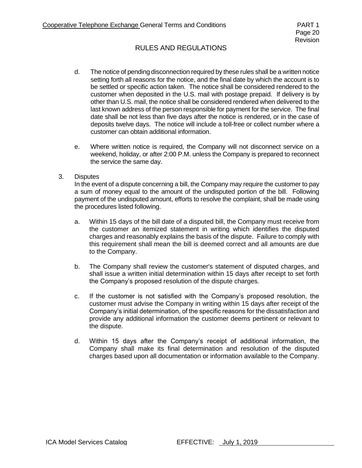- d. The notice of pending disconnection required by these rules shall be a written notice setting forth all reasons for the notice, and the final date by which the account is to be settled or specific action taken. The notice shall be considered rendered to the customer when deposited in the U.S. mail with postage prepaid. If delivery is by other than U.S. mail, the notice shall be considered rendered when delivered to the last known address of the person responsible for payment for the service. The final date shall be not less than five days after the notice is rendered, or in the case of deposits twelve days. The notice will include a toll-free or collect number where a customer can obtain additional information.
- e. Where written notice is required, the Company will not disconnect service on a weekend, holiday, or after 2:00 P.M. unless the Company is prepared to reconnect the service the same day.
- 3. Disputes

In the event of a dispute concerning a bill, the Company may require the customer to pay a sum of money equal to the amount of the undisputed portion of the bill. Following payment of the undisputed amount, efforts to resolve the complaint, shall be made using the procedures listed following.

- a. Within 15 days of the bill date of a disputed bill, the Company must receive from the customer an itemized statement in writing which identifies the disputed charges and reasonably explains the basis of the dispute. Failure to comply with this requirement shall mean the bill is deemed correct and all amounts are due to the Company.
- b. The Company shall review the customer's statement of disputed charges, and shall issue a written initial determination within 15 days after receipt to set forth the Company's proposed resolution of the dispute charges.
- c. If the customer is not satisfied with the Company's proposed resolution, the customer must advise the Company in writing within 15 days after receipt of the Company's initial determination, of the specific reasons for the dissatisfaction and provide any additional information the customer deems pertinent or relevant to the dispute.
- d. Within 15 days after the Company's receipt of additional information, the Company shall make its final determination and resolution of the disputed charges based upon all documentation or information available to the Company.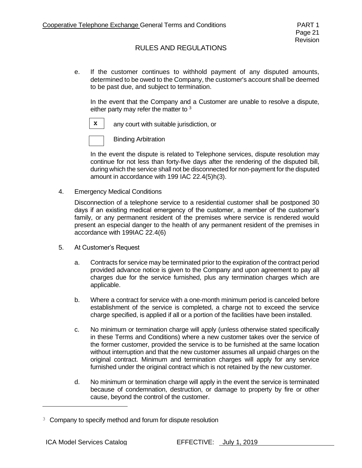e. If the customer continues to withhold payment of any disputed amounts, determined to be owed to the Company, the customer's account shall be deemed to be past due, and subject to termination.

In the event that the Company and a Customer are unable to resolve a dispute, either party may refer the matter to <sup>3</sup>



any court with suitable jurisdiction, or



Binding Arbitration

In the event the dispute is related to Telephone services, dispute resolution may continue for not less than forty-five days after the rendering of the disputed bill, during which the service shall not be disconnected for non-payment for the disputed amount in accordance with 199 IAC 22.4(5)h(3).

4. Emergency Medical Conditions

Disconnection of a telephone service to a residential customer shall be postponed 30 days if an existing medical emergency of the customer, a member of the customer's family, or any permanent resident of the premises where service is rendered would present an especial danger to the health of any permanent resident of the premises in accordance with 199IAC 22.4(6)

- 5. At Customer's Request
	- a. Contracts for service may be terminated prior to the expiration of the contract period provided advance notice is given to the Company and upon agreement to pay all charges due for the service furnished, plus any termination charges which are applicable.
	- b. Where a contract for service with a one-month minimum period is canceled before establishment of the service is completed, a charge not to exceed the service charge specified, is applied if all or a portion of the facilities have been installed.
	- c. No minimum or termination charge will apply (unless otherwise stated specifically in these Terms and Conditions) where a new customer takes over the service of the former customer, provided the service is to be furnished at the same location without interruption and that the new customer assumes all unpaid charges on the original contract. Minimum and termination charges will apply for any service furnished under the original contract which is not retained by the new customer.
	- d. No minimum or termination charge will apply in the event the service is terminated because of condemnation, destruction, or damage to property by fire or other cause, beyond the control of the customer.

<sup>&</sup>lt;sup>3</sup> Company to specify method and forum for dispute resolution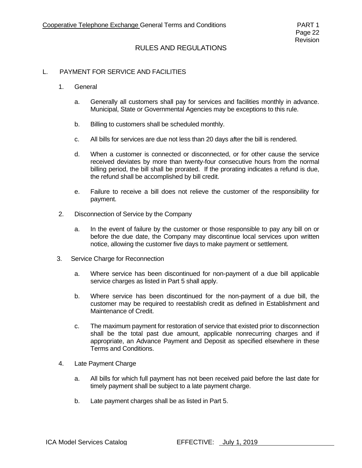#### L. PAYMENT FOR SERVICE AND FACILITIES

- 1. General
	- a. Generally all customers shall pay for services and facilities monthly in advance. Municipal, State or Governmental Agencies may be exceptions to this rule.
	- b. Billing to customers shall be scheduled monthly.
	- c. All bills for services are due not less than 20 days after the bill is rendered.
	- d. When a customer is connected or disconnected, or for other cause the service received deviates by more than twenty-four consecutive hours from the normal billing period, the bill shall be prorated. If the prorating indicates a refund is due, the refund shall be accomplished by bill credit.
	- e. Failure to receive a bill does not relieve the customer of the responsibility for payment.
- 2. Disconnection of Service by the Company
	- a. In the event of failure by the customer or those responsible to pay any bill on or before the due date, the Company may discontinue local services upon written notice, allowing the customer five days to make payment or settlement.
- 3. Service Charge for Reconnection
	- a. Where service has been discontinued for non-payment of a due bill applicable service charges as listed in Part 5 shall apply.
	- b. Where service has been discontinued for the non-payment of a due bill, the customer may be required to reestablish credit as defined in Establishment and Maintenance of Credit.
	- c. The maximum payment for restoration of service that existed prior to disconnection shall be the total past due amount, applicable nonrecurring charges and if appropriate, an Advance Payment and Deposit as specified elsewhere in these Terms and Conditions.
- 4. Late Payment Charge
	- a. All bills for which full payment has not been received paid before the last date for timely payment shall be subject to a late payment charge.
	- b. Late payment charges shall be as listed in Part 5.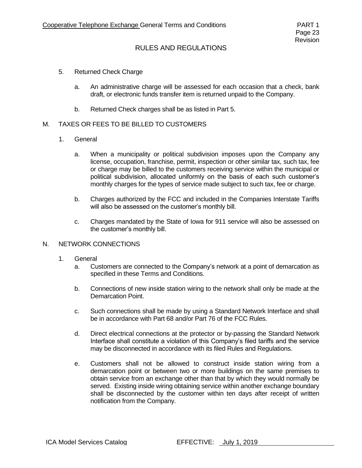- 5. Returned Check Charge
	- a. An administrative charge will be assessed for each occasion that a check, bank draft, or electronic funds transfer item is returned unpaid to the Company.
	- b. Returned Check charges shall be as listed in Part 5.

#### M. TAXES OR FEES TO BE BILLED TO CUSTOMERS

- 1. General
	- a. When a municipality or political subdivision imposes upon the Company any license, occupation, franchise, permit, inspection or other similar tax, such tax, fee or charge may be billed to the customers receiving service within the municipal or political subdivision, allocated uniformly on the basis of each such customer's monthly charges for the types of service made subject to such tax, fee or charge.
	- b. Charges authorized by the FCC and included in the Companies Interstate Tariffs will also be assessed on the customer's monthly bill.
	- c. Charges mandated by the State of Iowa for 911 service will also be assessed on the customer's monthly bill.

#### N. NETWORK CONNECTIONS

- 1. General
	- a. Customers are connected to the Company's network at a point of demarcation as specified in these Terms and Conditions.
	- b. Connections of new inside station wiring to the network shall only be made at the Demarcation Point.
	- c. Such connections shall be made by using a Standard Network Interface and shall be in accordance with Part 68 and/or Part 76 of the FCC Rules.
	- d. Direct electrical connections at the protector or by-passing the Standard Network Interface shall constitute a violation of this Company's filed tariffs and the service may be disconnected in accordance with its filed Rules and Regulations.
	- e. Customers shall not be allowed to construct inside station wiring from a demarcation point or between two or more buildings on the same premises to obtain service from an exchange other than that by which they would normally be served. Existing inside wiring obtaining service within another exchange boundary shall be disconnected by the customer within ten days after receipt of written notification from the Company.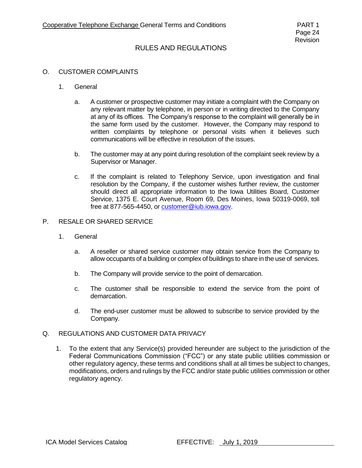#### O. CUSTOMER COMPLAINTS

- 1. General
	- a. A customer or prospective customer may initiate a complaint with the Company on any relevant matter by telephone, in person or in writing directed to the Company at any of its offices. The Company's response to the complaint will generally be in the same form used by the customer. However, the Company may respond to written complaints by telephone or personal visits when it believes such communications will be effective in resolution of the issues.
	- b. The customer may at any point during resolution of the complaint seek review by a Supervisor or Manager.
	- c. If the complaint is related to Telephony Service, upon investigation and final resolution by the Company, if the customer wishes further review, the customer should direct all appropriate information to the Iowa Utilities Board, Customer Service, 1375 E. Court Avenue, Room 69, Des Moines, Iowa 50319-0069, toll free at 877-565-4450, or [customer@iub.iowa.gov.](mailto:customer@iub.iowa.gov?Subject=Customer%20Inquiry%20from%20IUB%20web%20site)

#### P. RESALE OR SHARED SERVICE

- 1. General
	- a. A reseller or shared service customer may obtain service from the Company to allow occupants of a building or complex of buildings to share in the use of services.
	- b. The Company will provide service to the point of demarcation.
	- c. The customer shall be responsible to extend the service from the point of demarcation.
	- d. The end-user customer must be allowed to subscribe to service provided by the Company.
- Q. REGULATIONS AND CUSTOMER DATA PRIVACY
	- 1. To the extent that any Service(s) provided hereunder are subject to the jurisdiction of the Federal Communications Commission ("FCC") or any state public utilities commission or other regulatory agency, these terms and conditions shall at all times be subject to changes, modifications, orders and rulings by the FCC and/or state public utilities commission or other regulatory agency.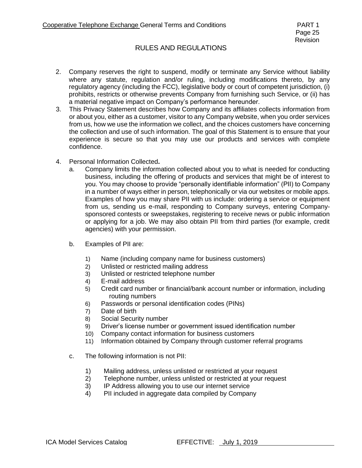- 2. Company reserves the right to suspend, modify or terminate any Service without liability where any statute, regulation and/or ruling, including modifications thereto, by any regulatory agency (including the FCC), legislative body or court of competent jurisdiction, (i) prohibits, restricts or otherwise prevents Company from furnishing such Service, or (ii) has a material negative impact on Company's performance hereunder.
- 3. This Privacy Statement describes how Company and its affiliates collects information from or about you, either as a customer, visitor to any Company website, when you order services from us, how we use the information we collect, and the choices customers have concerning the collection and use of such information. The goal of this Statement is to ensure that your experience is secure so that you may use our products and services with complete confidence.
- 4. Personal Information Collected**.** 
	- a. Company limits the information collected about you to what is needed for conducting business, including the offering of products and services that might be of interest to you. You may choose to provide "personally identifiable information" (PII) to Company in a number of ways either in person, telephonically or via our websites or mobile apps. Examples of how you may share PII with us include: ordering a service or equipment from us, sending us e-mail, responding to Company surveys, entering Companysponsored contests or sweepstakes, registering to receive news or public information or applying for a job. We may also obtain PII from third parties (for example, credit agencies) with your permission.
	- b. Examples of PII are:
		- 1) Name (including company name for business customers)
		- 2) Unlisted or restricted mailing address
		- 3) Unlisted or restricted telephone number
		- 4) E-mail address
		- 5) Credit card number or financial/bank account number or information, including routing numbers
		- 6) Passwords or personal identification codes (PINs)
		- 7) Date of birth
		- 8) Social Security number
		- 9) Driver's license number or government issued identification number
		- 10) Company contact information for business customers
		- 11) Information obtained by Company through customer referral programs
	- c. The following information is not PII:
		- 1) Mailing address, unless unlisted or restricted at your request<br>2) Telephone number, unless unlisted or restricted at your reque
		- Telephone number, unless unlisted or restricted at your request
		- 3) IP Address allowing you to use our internet service
		- 4) PII included in aggregate data compiled by Company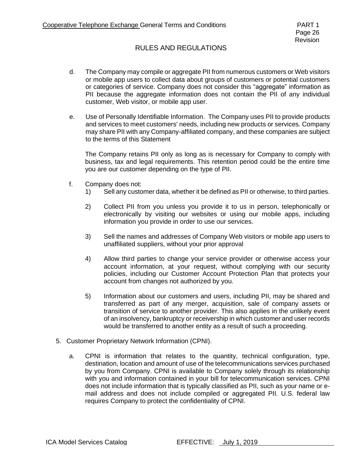- d. The Company may compile or aggregate PII from numerous customers or Web visitors or mobile app users to collect data about groups of customers or potential customers or categories of service. Company does not consider this "aggregate" information as PII because the aggregate information does not contain the PII of any individual customer, Web visitor, or mobile app user.
- e. Use of Personally Identifiable Information. The Company uses PII to provide products and services to meet customers' needs, including new products or services. Company may share PII with any Company-affiliated company, and these companies are subject to the terms of this Statement

The Company retains PII only as long as is necessary for Company to comply with business, tax and legal requirements. This retention period could be the entire time you are our customer depending on the type of PII.

- f. Company does not:
	- 1) Sell any customer data, whether it be defined as PII or otherwise, to third parties.
	- 2) Collect PII from you unless you provide it to us in person, telephonically or electronically by visiting our websites or using our mobile apps, including information you provide in order to use our services.
	- 3) Sell the names and addresses of Company Web visitors or mobile app users to unaffiliated suppliers, without your prior approval
	- 4) Allow third parties to change your service provider or otherwise access your account information, at your request, without complying with our security policies, including our Customer Account Protection Plan that protects your account from changes not authorized by you.
	- 5) Information about our customers and users, including PII, may be shared and transferred as part of any merger, acquisition, sale of company assets or transition of service to another provider. This also applies in the unlikely event of an insolvency, bankruptcy or receivership in which customer and user records would be transferred to another entity as a result of such a proceeding.
- 5. Customer Proprietary Network Information (CPNI).
	- a. CPNI is information that relates to the quantity, technical configuration, type, destination, location and amount of use of the telecommunications services purchased by you from Company. CPNI is available to Company solely through its relationship with you and information contained in your bill for telecommunication services. CPNI does not include information that is typically classified as PII, such as your name or email address and does not include compiled or aggregated PII. U.S. federal law requires Company to protect the confidentiality of CPNI.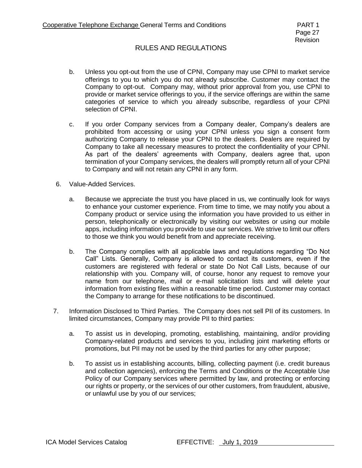- b. Unless you opt-out from the use of CPNI, Company may use CPNI to market service offerings to you to which you do not already subscribe. Customer may contact the Company to opt-out. Company may, without prior approval from you, use CPNI to provide or market service offerings to you, if the service offerings are within the same categories of service to which you already subscribe, regardless of your CPNI selection of CPNI.
- c. If you order Company services from a Company dealer, Company's dealers are prohibited from accessing or using your CPNI unless you sign a consent form authorizing Company to release your CPNI to the dealers. Dealers are required by Company to take all necessary measures to protect the confidentiality of your CPNI. As part of the dealers' agreements with Company, dealers agree that, upon termination of your Company services, the dealers will promptly return all of your CPNI to Company and will not retain any CPNI in any form.
- 6. Value-Added Services.
	- a. Because we appreciate the trust you have placed in us, we continually look for ways to enhance your customer experience. From time to time, we may notify you about a Company product or service using the information you have provided to us either in person, telephonically or electronically by visiting our websites or using our mobile apps, including information you provide to use our services. We strive to limit our offers to those we think you would benefit from and appreciate receiving.
	- b. The Company complies with all applicable laws and regulations regarding "Do Not Call" Lists. Generally, Company is allowed to contact its customers, even if the customers are registered with federal or state Do Not Call Lists, because of our relationship with you. Company will, of course, honor any request to remove your name from our telephone, mail or e-mail solicitation lists and will delete your information from existing files within a reasonable time period. Customer may contact the Company to arrange for these notifications to be discontinued.
- 7. Information Disclosed to Third Parties.The Company does not sell PII of its customers. In limited circumstances, Company may provide PII to third parties:
	- a. To assist us in developing, promoting, establishing, maintaining, and/or providing Company-related products and services to you, including joint marketing efforts or promotions, but PII may not be used by the third parties for any other purpose;
	- b. To assist us in establishing accounts, billing, collecting payment (i.e. credit bureaus and collection agencies), enforcing the Terms and Conditions or the Acceptable Use Policy of our Company services where permitted by law, and protecting or enforcing our rights or property, or the services of our other customers, from fraudulent, abusive, or unlawful use by you of our services;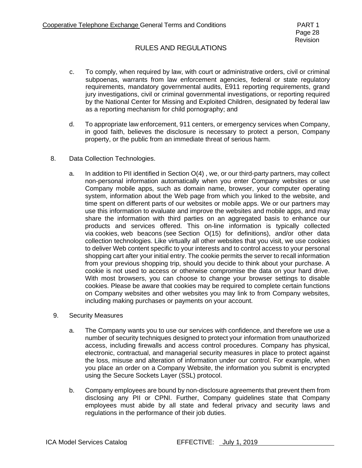- c. To comply, when required by law, with court or administrative orders, civil or criminal subpoenas, warrants from law enforcement agencies, federal or state regulatory requirements, mandatory governmental audits, E911 reporting requirements, grand jury investigations, civil or criminal governmental investigations, or reporting required by the National Center for Missing and Exploited Children, designated by federal law as a reporting mechanism for child pornography; and
- d. To appropriate law enforcement, 911 centers, or emergency services when Company, in good faith, believes the disclosure is necessary to protect a person, Company property, or the public from an immediate threat of serious harm.
- 8. Data Collection Technologies.
	- a. In addition to PII identified in Section O(4) , we, or our third-party partners, may collect non-personal information automatically when you enter Company websites or use Company mobile apps, such as domain name, browser, your computer operating system, information about the Web page from which you linked to the website, and time spent on different parts of our websites or mobile apps. We or our partners may use this information to evaluate and improve the websites and mobile apps, and may share the information with third parties on an aggregated basis to enhance our products and services offered. This on-line information is typically collected via cookies, web beacons (see Section O(15) for definitions), and/or other data collection technologies. Like virtually all other websites that you visit, we use cookies to deliver Web content specific to your interests and to control access to your personal shopping cart after your initial entry. The cookie permits the server to recall information from your previous shopping trip, should you decide to think about your purchase. A cookie is not used to access or otherwise compromise the data on your hard drive. With most browsers, you can choose to change your browser settings to disable cookies. Please be aware that cookies may be required to complete certain functions on Company websites and other websites you may link to from Company websites, including making purchases or payments on your account.
- 9. Security Measures
	- a. The Company wants you to use our services with confidence, and therefore we use a number of security techniques designed to protect your information from unauthorized access, including firewalls and access control procedures. Company has physical, electronic, contractual, and managerial security measures in place to protect against the loss, misuse and alteration of information under our control. For example, when you place an order on a Company Website, the information you submit is encrypted using the Secure Sockets Layer (SSL) protocol.
	- b. Company employees are bound by non-disclosure agreements that prevent them from disclosing any PII or CPNI. Further, Company guidelines state that Company employees must abide by all state and federal privacy and security laws and regulations in the performance of their job duties.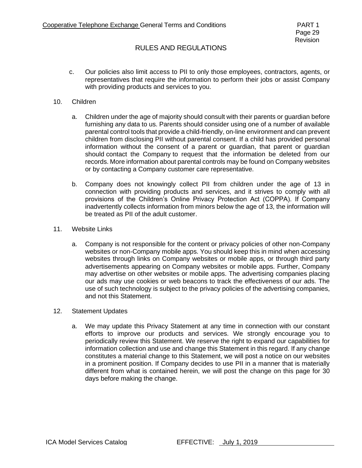c. Our policies also limit access to PII to only those employees, contractors, agents, or representatives that require the information to perform their jobs or assist Company with providing products and services to you.

#### 10. Children

- a. Children under the age of majority should consult with their parents or guardian before furnishing any data to us. Parents should consider using one of a number of available parental control tools that provide a child-friendly, on-line environment and can prevent children from disclosing PII without parental consent. If a child has provided personal information without the consent of a parent or guardian, that parent or guardian should contact the Company to request that the information be deleted from our records. More information about parental controls may be found on Company websites or by contacting a Company customer care representative.
- b. Company does not knowingly collect PII from children under the age of 13 in connection with providing products and services, and it strives to comply with all provisions of the Children's Online Privacy Protection Act (COPPA). If Company inadvertently collects information from minors below the age of 13, the information will be treated as PII of the adult customer.
- 11. Website Links
	- a. Company is not responsible for the content or privacy policies of other non-Company websites or non-Company mobile apps. You should keep this in mind when accessing websites through links on Company websites or mobile apps, or through third party advertisements appearing on Company websites or mobile apps. Further, Company may advertise on other websites or mobile apps. The advertising companies placing our ads may use cookies or web beacons to track the effectiveness of our ads. The use of such technology is subject to the privacy policies of the advertising companies, and not this Statement.
- 12. Statement Updates
	- a. We may update this Privacy Statement at any time in connection with our constant efforts to improve our products and services. We strongly encourage you to periodically review this Statement. We reserve the right to expand our capabilities for information collection and use and change this Statement in this regard. If any change constitutes a material change to this Statement, we will post a notice on our websites in a prominent position. If Company decides to use PII in a manner that is materially different from what is contained herein, we will post the change on this page for 30 days before making the change.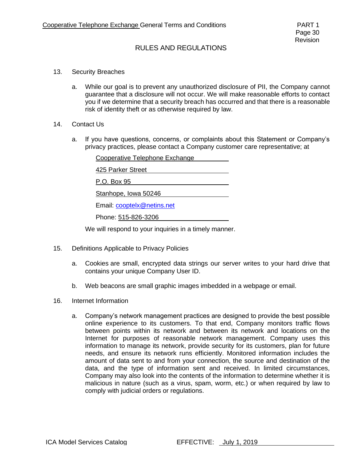- 13. Security Breaches
	- a. While our goal is to prevent any unauthorized disclosure of PII, the Company cannot guarantee that a disclosure will not occur. We will make reasonable efforts to contact you if we determine that a security breach has occurred and that there is a reasonable risk of identity theft or as otherwise required by law.
- 14. Contact Us
	- a. If you have questions, concerns, or complaints about this Statement or Company's privacy practices, please contact a Company customer care representative; at

| Cooperative Telephone Exchange |
|--------------------------------|
| 425 Parker Street              |
| P.O. Box 95                    |
| Stanhope, Iowa 50246           |
| Email: cooptelx@netins.net     |
| Phone: 515-826-3206            |
|                                |

We will respond to your inquiries in a timely manner.

- 15. Definitions Applicable to Privacy Policies
	- a. Cookies are small, encrypted data strings our server writes to your hard drive that contains your unique Company User ID.
	- b. Web beacons are small graphic images imbedded in a webpage or email.
- 16. Internet Information
	- a. Company's network management practices are designed to provide the best possible online experience to its customers. To that end, Company monitors traffic flows between points within its network and between its network and locations on the Internet for purposes of reasonable network management. Company uses this information to manage its network, provide security for its customers, plan for future needs, and ensure its network runs efficiently. Monitored information includes the amount of data sent to and from your connection, the source and destination of the data, and the type of information sent and received. In limited circumstances, Company may also look into the contents of the information to determine whether it is malicious in nature (such as a virus, spam, worm, etc.) or when required by law to comply with judicial orders or regulations.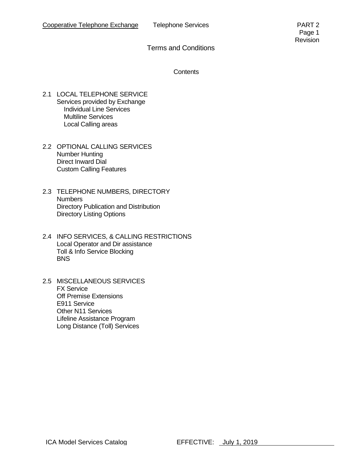**Contents** 

- 2.1 LOCAL TELEPHONE SERVICE Services provided by Exchange Individual Line Services Multiline Services Local Calling areas
- 2.2 OPTIONAL CALLING SERVICES Number Hunting Direct Inward Dial Custom Calling Features
- 2.3 TELEPHONE NUMBERS, DIRECTORY **Numbers** Directory Publication and Distribution Directory Listing Options
- 2.4 INFO SERVICES, & CALLING RESTRICTIONS Local Operator and Dir assistance Toll & Info Service Blocking **BNS**
- 2.5 MISCELLANEOUS SERVICES FX Service Off Premise Extensions E911 Service Other N11 Services Lifeline Assistance Program Long Distance (Toll) Services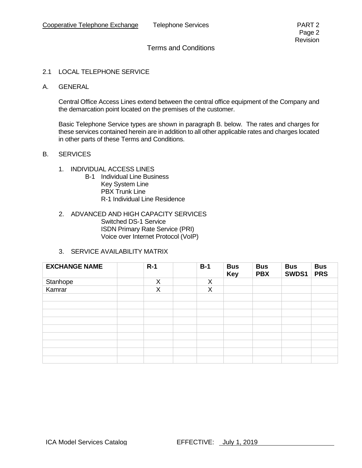- 2.1 LOCAL TELEPHONE SERVICE
- A. GENERAL

Central Office Access Lines extend between the central office equipment of the Company and the demarcation point located on the premises of the customer.

Basic Telephone Service types are shown in paragraph B. below. The rates and charges for these services contained herein are in addition to all other applicable rates and charges located in other parts of these Terms and Conditions.

- B. SERVICES
	- 1. INDIVIDUAL ACCESS LINES
		- B-1 Individual Line Business Key System Line PBX Trunk Line R-1 Individual Line Residence
	- 2. ADVANCED AND HIGH CAPACITY SERVICES Switched DS-1 Service ISDN Primary Rate Service (PRI) Voice over Internet Protocol (VoIP)
	- 3. SERVICE AVAILABILITY MATRIX

| <b>EXCHANGE NAME</b> | $R-1$ | $B-1$ | <b>Bus</b><br><b>Key</b> | <b>Bus</b><br><b>PBX</b> | <b>Bus</b><br>SWDS1 | <b>Bus</b><br><b>PRS</b> |
|----------------------|-------|-------|--------------------------|--------------------------|---------------------|--------------------------|
| Stanhope             | X     | X     |                          |                          |                     |                          |
| Kamrar               | X     | X     |                          |                          |                     |                          |
|                      |       |       |                          |                          |                     |                          |
|                      |       |       |                          |                          |                     |                          |
|                      |       |       |                          |                          |                     |                          |
|                      |       |       |                          |                          |                     |                          |
|                      |       |       |                          |                          |                     |                          |
|                      |       |       |                          |                          |                     |                          |
|                      |       |       |                          |                          |                     |                          |
|                      |       |       |                          |                          |                     |                          |
|                      |       |       |                          |                          |                     |                          |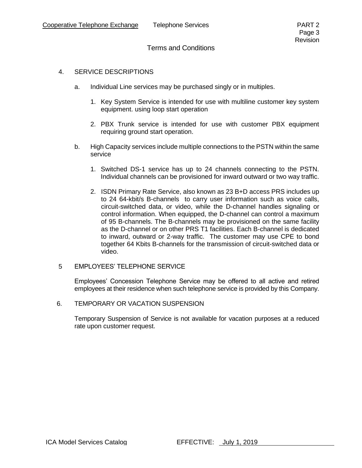#### 4. SERVICE DESCRIPTIONS

- a. Individual Line services may be purchased singly or in multiples.
	- 1. Key System Service is intended for use with multiline customer key system equipment. using loop start operation
	- 2. PBX Trunk service is intended for use with customer PBX equipment requiring ground start operation.
- b. High Capacity services include multiple connections to the PSTN within the same service
	- 1. Switched DS-1 service has up to 24 channels connecting to the PSTN. Individual channels can be provisioned for inward outward or two way traffic.
	- 2. ISDN Primary Rate Service, also known as 23 B+D access PRS includes up to 24 64-kbit/s B-channels to carry user information such as voice calls, circuit-switched data, or video, while the D-channel handles signaling or control information. When equipped, the D-channel can control a maximum of 95 B-channels. The B-channels may be provisioned on the same facility as the D-channel or on other PRS T1 facilities. Each B-channel is dedicated to inward, outward or 2-way traffic. The customer may use CPE to bond together 64 Kbits B-channels for the transmission of circuit-switched data or video.

#### 5 EMPLOYEES' TELEPHONE SERVICE

Employees' Concession Telephone Service may be offered to all active and retired employees at their residence when such telephone service is provided by this Company.

6. TEMPORARY OR VACATION SUSPENSION

Temporary Suspension of Service is not available for vacation purposes at a reduced rate upon customer request.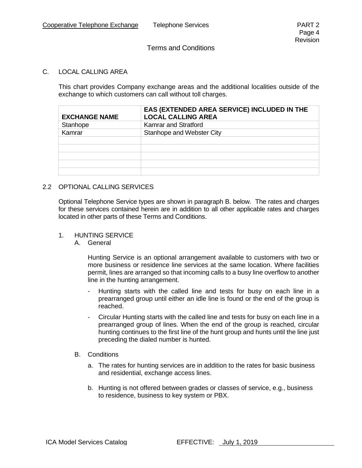#### C. LOCAL CALLING AREA

This chart provides Company exchange areas and the additional localities outside of the exchange to which customers can call without toll charges.

| <b>EXCHANGE NAME</b> | EAS (EXTENDED AREA SERVICE) INCLUDED IN THE<br><b>LOCAL CALLING AREA</b> |
|----------------------|--------------------------------------------------------------------------|
| Stanhope             | Kamrar and Stratford                                                     |
| Kamrar               | Stanhope and Webster City                                                |
|                      |                                                                          |
|                      |                                                                          |
|                      |                                                                          |
|                      |                                                                          |
|                      |                                                                          |

#### 2.2 OPTIONAL CALLING SERVICES

Optional Telephone Service types are shown in paragraph B. below. The rates and charges for these services contained herein are in addition to all other applicable rates and charges located in other parts of these Terms and Conditions.

#### 1. HUNTING SERVICE

A. General

Hunting Service is an optional arrangement available to customers with two or more business or residence line services at the same location. Where facilities permit, lines are arranged so that incoming calls to a busy line overflow to another line in the hunting arrangement.

- Hunting starts with the called line and tests for busy on each line in a prearranged group until either an idle line is found or the end of the group is reached.
- Circular Hunting starts with the called line and tests for busy on each line in a prearranged group of lines. When the end of the group is reached, circular hunting continues to the first line of the hunt group and hunts until the line just preceding the dialed number is hunted.
- B. Conditions
	- a. The rates for hunting services are in addition to the rates for basic business and residential, exchange access lines.
	- b. Hunting is not offered between grades or classes of service, e.g., business to residence, business to key system or PBX.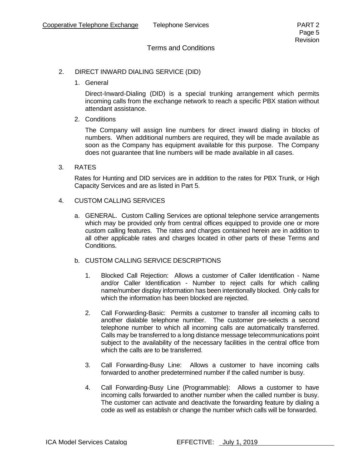#### 2. DIRECT INWARD DIALING SERVICE (DID)

1. General

Direct-Inward-Dialing (DID) is a special trunking arrangement which permits incoming calls from the exchange network to reach a specific PBX station without attendant assistance.

2. Conditions

The Company will assign line numbers for direct inward dialing in blocks of numbers. When additional numbers are required, they will be made available as soon as the Company has equipment available for this purpose. The Company does not guarantee that line numbers will be made available in all cases.

3. RATES

Rates for Hunting and DID services are in addition to the rates for PBX Trunk, or High Capacity Services and are as listed in Part 5.

- 4. CUSTOM CALLING SERVICES
	- a. GENERAL. Custom Calling Services are optional telephone service arrangements which may be provided only from central offices equipped to provide one or more custom calling features. The rates and charges contained herein are in addition to all other applicable rates and charges located in other parts of these Terms and Conditions.
	- b. CUSTOM CALLING SERVICE DESCRIPTIONS
		- 1. Blocked Call Rejection: Allows a customer of Caller Identification Name and/or Caller Identification - Number to reject calls for which calling name/number display information has been intentionally blocked. Only calls for which the information has been blocked are rejected.
		- 2. Call Forwarding-Basic: Permits a customer to transfer all incoming calls to another dialable telephone number. The customer pre-selects a second telephone number to which all incoming calls are automatically transferred. Calls may be transferred to a long distance message telecommunications point subject to the availability of the necessary facilities in the central office from which the calls are to be transferred.
		- 3. Call Forwarding-Busy Line: Allows a customer to have incoming calls forwarded to another predetermined number if the called number is busy.
		- 4. Call Forwarding-Busy Line (Programmable): Allows a customer to have incoming calls forwarded to another number when the called number is busy. The customer can activate and deactivate the forwarding feature by dialing a code as well as establish or change the number which calls will be forwarded.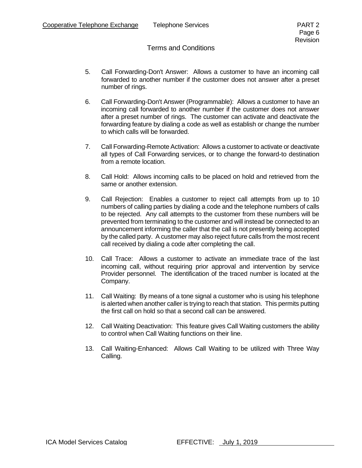- 5. Call Forwarding-Don't Answer: Allows a customer to have an incoming call forwarded to another number if the customer does not answer after a preset number of rings.
- 6. Call Forwarding-Don't Answer (Programmable): Allows a customer to have an incoming call forwarded to another number if the customer does not answer after a preset number of rings. The customer can activate and deactivate the forwarding feature by dialing a code as well as establish or change the number to which calls will be forwarded.
- 7. Call Forwarding-Remote Activation: Allows a customer to activate or deactivate all types of Call Forwarding services, or to change the forward-to destination from a remote location.
- 8. Call Hold: Allows incoming calls to be placed on hold and retrieved from the same or another extension.
- 9. Call Rejection: Enables a customer to reject call attempts from up to 10 numbers of calling parties by dialing a code and the telephone numbers of calls to be rejected. Any call attempts to the customer from these numbers will be prevented from terminating to the customer and will instead be connected to an announcement informing the caller that the call is not presently being accepted by the called party. A customer may also reject future calls from the most recent call received by dialing a code after completing the call.
- 10. Call Trace: Allows a customer to activate an immediate trace of the last incoming call, without requiring prior approval and intervention by service Provider personnel. The identification of the traced number is located at the Company.
- 11. Call Waiting: By means of a tone signal a customer who is using his telephone is alerted when another caller is trying to reach that station. This permits putting the first call on hold so that a second call can be answered.
- 12. Call Waiting Deactivation: This feature gives Call Waiting customers the ability to control when Call Waiting functions on their line.
- 13. Call Waiting-Enhanced: Allows Call Waiting to be utilized with Three Way Calling.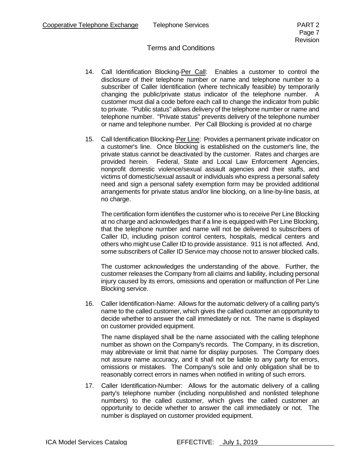- 14. Call Identification Blocking-Per Call: Enables a customer to control the disclosure of their telephone number or name and telephone number to a subscriber of Caller Identification (where technically feasible) by temporarily changing the public/private status indicator of the telephone number. A customer must dial a code before each call to change the indicator from public to private. "Public status" allows delivery of the telephone number or name and telephone number. "Private status" prevents delivery of the telephone number or name and telephone number. Per Call Blocking is provided at no charge
- 15. Call Identification Blocking-Per Line: Provides a permanent private indicator on a customer's line. Once blocking is established on the customer's line, the private status cannot be deactivated by the customer. Rates and charges are provided herein. Federal, State and Local Law Enforcement Agencies, nonprofit domestic violence/sexual assault agencies and their staffs, and victims of domestic/sexual assault or individuals who express a personal safety need and sign a personal safety exemption form may be provided additional arrangements for private status and/or line blocking, on a line-by-line basis, at no charge.

The certification form identifies the customer who is to receive Per Line Blocking at no charge and acknowledges that if a line is equipped with Per Line Blocking, that the telephone number and name will not be delivered to subscribers of Caller ID, including poison control centers, hospitals, medical centers and others who might use Caller ID to provide assistance. 911 is not affected. And, some subscribers of Caller ID Service may choose not to answer blocked calls.

The customer acknowledges the understanding of the above. Further, the customer releases the Company from all claims and liability, including personal injury caused by its errors, omissions and operation or malfunction of Per Line Blocking service.

16. Caller Identification-Name: Allows for the automatic delivery of a calling party's name to the called customer, which gives the called customer an opportunity to decide whether to answer the call immediately or not. The name is displayed on customer provided equipment.

The name displayed shall be the name associated with the calling telephone number as shown on the Company's records. The Company, in its discretion, may abbreviate or limit that name for display purposes. The Company does not assure name accuracy, and it shall not be liable to any party for errors, omissions or mistakes. The Company's sole and only obligation shall be to reasonably correct errors in names when notified in writing of such errors.

17. Caller Identification-Number: Allows for the automatic delivery of a calling party's telephone number (including nonpublished and nonlisted telephone numbers) to the called customer, which gives the called customer an opportunity to decide whether to answer the call immediately or not. The number is displayed on customer provided equipment.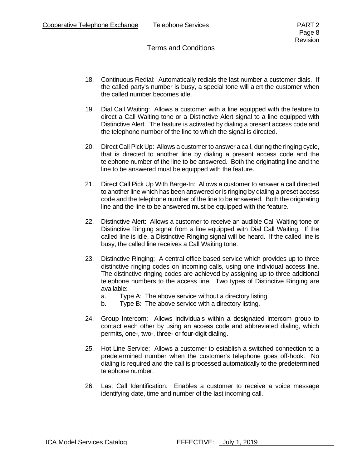- 18. Continuous Redial: Automatically redials the last number a customer dials. If the called party's number is busy, a special tone will alert the customer when the called number becomes idle.
- 19. Dial Call Waiting: Allows a customer with a line equipped with the feature to direct a Call Waiting tone or a Distinctive Alert signal to a line equipped with Distinctive Alert. The feature is activated by dialing a present access code and the telephone number of the line to which the signal is directed.
- 20. Direct Call Pick Up: Allows a customer to answer a call, during the ringing cycle, that is directed to another line by dialing a present access code and the telephone number of the line to be answered. Both the originating line and the line to be answered must be equipped with the feature.
- 21. Direct Call Pick Up With Barge-In: Allows a customer to answer a call directed to another line which has been answered or is ringing by dialing a preset access code and the telephone number of the line to be answered. Both the originating line and the line to be answered must be equipped with the feature.
- 22. Distinctive Alert: Allows a customer to receive an audible Call Waiting tone or Distinctive Ringing signal from a line equipped with Dial Call Waiting. If the called line is idle, a Distinctive Ringing signal will be heard. If the called line is busy, the called line receives a Call Waiting tone.
- 23. Distinctive Ringing: A central office based service which provides up to three distinctive ringing codes on incoming calls, using one individual access line. The distinctive ringing codes are achieved by assigning up to three additional telephone numbers to the access line. Two types of Distinctive Ringing are available:
	- a. Type A: The above service without a directory listing.
	- b. Type B: The above service with a directory listing.
- 24. Group Intercom: Allows individuals within a designated intercom group to contact each other by using an access code and abbreviated dialing, which permits, one-, two-, three- or four-digit dialing.
- 25. Hot Line Service: Allows a customer to establish a switched connection to a predetermined number when the customer's telephone goes off-hook. No dialing is required and the call is processed automatically to the predetermined telephone number.
- 26. Last Call Identification: Enables a customer to receive a voice message identifying date, time and number of the last incoming call.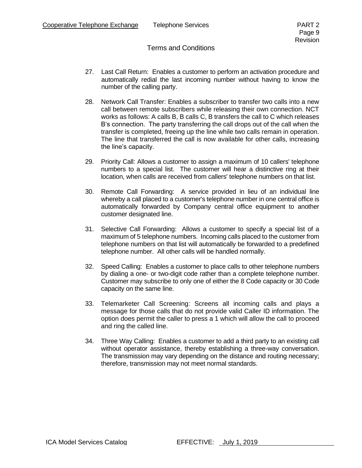- 27. Last Call Return: Enables a customer to perform an activation procedure and automatically redial the last incoming number without having to know the number of the calling party.
- 28. Network Call Transfer: Enables a subscriber to transfer two calls into a new call between remote subscribers while releasing their own connection. NCT works as follows: A calls B, B calls C, B transfers the call to C which releases B's connection. The party transferring the call drops out of the call when the transfer is completed, freeing up the line while two calls remain in operation. The line that transferred the call is now available for other calls, increasing the line's capacity.
- 29. Priority Call: Allows a customer to assign a maximum of 10 callers' telephone numbers to a special list. The customer will hear a distinctive ring at their location, when calls are received from callers' telephone numbers on that list.
- 30. Remote Call Forwarding: A service provided in lieu of an individual line whereby a call placed to a customer's telephone number in one central office is automatically forwarded by Company central office equipment to another customer designated line.
- 31. Selective Call Forwarding: Allows a customer to specify a special list of a maximum of 5 telephone numbers. Incoming calls placed to the customer from telephone numbers on that list will automatically be forwarded to a predefined telephone number. All other calls will be handled normally.
- 32. Speed Calling: Enables a customer to place calls to other telephone numbers by dialing a one- or two-digit code rather than a complete telephone number. Customer may subscribe to only one of either the 8 Code capacity or 30 Code capacity on the same line.
- 33. Telemarketer Call Screening: Screens all incoming calls and plays a message for those calls that do not provide valid Caller ID information. The option does permit the caller to press a 1 which will allow the call to proceed and ring the called line.
- 34. Three Way Calling: Enables a customer to add a third party to an existing call without operator assistance, thereby establishing a three-way conversation. The transmission may vary depending on the distance and routing necessary; therefore, transmission may not meet normal standards.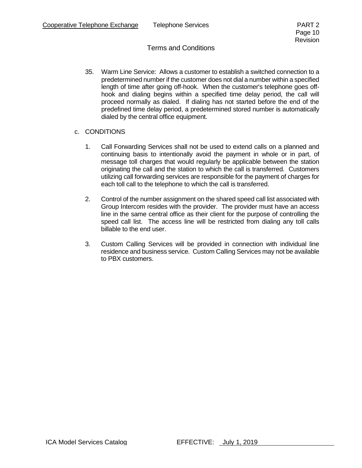- 35. Warm Line Service: Allows a customer to establish a switched connection to a predetermined number if the customer does not dial a number within a specified length of time after going off-hook. When the customer's telephone goes offhook and dialing begins within a specified time delay period, the call will proceed normally as dialed. If dialing has not started before the end of the predefined time delay period, a predetermined stored number is automatically dialed by the central office equipment.
- c. CONDITIONS
	- 1. Call Forwarding Services shall not be used to extend calls on a planned and continuing basis to intentionally avoid the payment in whole or in part, of message toll charges that would regularly be applicable between the station originating the call and the station to which the call is transferred. Customers utilizing call forwarding services are responsible for the payment of charges for each toll call to the telephone to which the call is transferred.
	- 2. Control of the number assignment on the shared speed call list associated with Group Intercom resides with the provider. The provider must have an access line in the same central office as their client for the purpose of controlling the speed call list. The access line will be restricted from dialing any toll calls billable to the end user.
	- 3. Custom Calling Services will be provided in connection with individual line residence and business service. Custom Calling Services may not be available to PBX customers.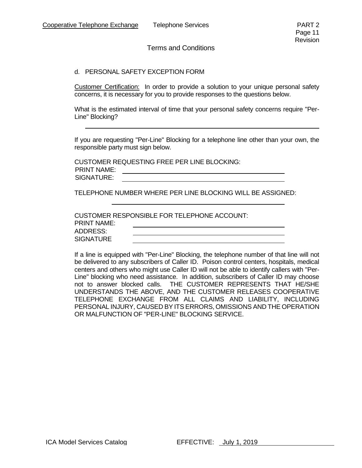#### d. PERSONAL SAFETY EXCEPTION FORM

Customer Certification: In order to provide a solution to your unique personal safety concerns, it is necessary for you to provide responses to the questions below.

What is the estimated interval of time that your personal safety concerns require "Per-Line" Blocking?

If you are requesting "Per-Line" Blocking for a telephone line other than your own, the responsible party must sign below.

CUSTOMER REQUESTING FREE PER LINE BLOCKING: PRINT NAME: <u> 1980 - Johann Barnett, fransk politik (f. 1980)</u> SIGNATURE:

TELEPHONE NUMBER WHERE PER LINE BLOCKING WILL BE ASSIGNED:

|             | CUSTOMER RESPONSIBLE FOR TELEPHONE ACCOUNT: |
|-------------|---------------------------------------------|
| PRINT NAME: |                                             |
| ADDRESS:    |                                             |
| SIGNATURE   |                                             |

If a line is equipped with "Per-Line" Blocking, the telephone number of that line will not be delivered to any subscribers of Caller ID. Poison control centers, hospitals, medical centers and others who might use Caller ID will not be able to identify callers with "Per-Line" blocking who need assistance. In addition, subscribers of Caller ID may choose not to answer blocked calls. THE CUSTOMER REPRESENTS THAT HE/SHE UNDERSTANDS THE ABOVE, AND THE CUSTOMER RELEASES COOPERATIVE TELEPHONE EXCHANGE FROM ALL CLAIMS AND LIABILITY, INCLUDING PERSONAL INJURY, CAUSED BY ITS ERRORS, OMISSIONS AND THE OPERATION OR MALFUNCTION OF "PER-LINE" BLOCKING SERVICE.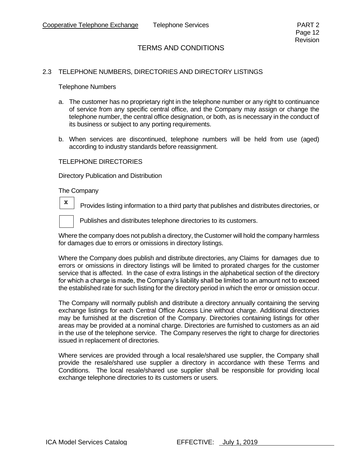#### 2.3 TELEPHONE NUMBERS, DIRECTORIES AND DIRECTORY LISTINGS

Telephone Numbers

- a. The customer has no proprietary right in the telephone number or any right to continuance of service from any specific central office, and the Company may assign or change the telephone number, the central office designation, or both, as is necessary in the conduct of its business or subject to any porting requirements.
- b. When services are discontinued, telephone numbers will be held from use (aged) according to industry standards before reassignment.

#### TELEPHONE DIRECTORIES

Directory Publication and Distribution

The Company

Provides listing information to a third party that publishes and distributes directories, or



Publishes and distributes telephone directories to its customers.

Where the company does not publish a directory, the Customer will hold the company harmless for damages due to errors or omissions in directory listings.

Where the Company does publish and distribute directories, any Claims for damages due to errors or omissions in directory listings will be limited to prorated charges for the customer service that is affected. In the case of extra listings in the alphabetical section of the directory for which a charge is made, the Company's liability shall be limited to an amount not to exceed the established rate for such listing for the directory period in which the error or omission occur.

The Company will normally publish and distribute a directory annually containing the serving exchange listings for each Central Office Access Line without charge. Additional directories may be furnished at the discretion of the Company. Directories containing listings for other areas may be provided at a nominal charge. Directories are furnished to customers as an aid in the use of the telephone service. The Company reserves the right to charge for directories issued in replacement of directories.

Where services are provided through a local resale/shared use supplier, the Company shall provide the resale/shared use supplier a directory in accordance with these Terms and Conditions. The local resale/shared use supplier shall be responsible for providing local exchange telephone directories to its customers or users.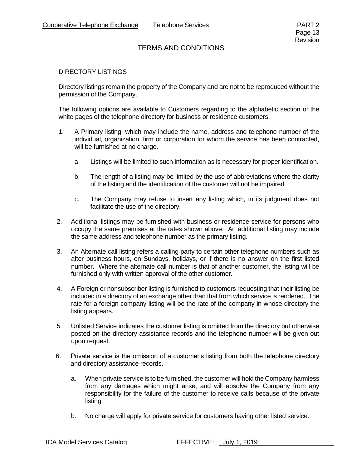#### DIRECTORY LISTINGS

Directory listings remain the property of the Company and are not to be reproduced without the permission of the Company.

The following options are available to Customers regarding to the alphabetic section of the white pages of the telephone directory for business or residence customers.

- 1. A Primary listing, which may include the name, address and telephone number of the individual, organization, firm or corporation for whom the service has been contracted, will be furnished at no charge.
	- a. Listings will be limited to such information as is necessary for proper identification.
	- b. The length of a listing may be limited by the use of abbreviations where the clarity of the listing and the identification of the customer will not be impaired.
	- c. The Company may refuse to insert any listing which, in its judgment does not facilitate the use of the directory.
- 2. Additional listings may be furnished with business or residence service for persons who occupy the same premises at the rates shown above. An additional listing may include the same address and telephone number as the primary listing.
- 3. An Alternate call listing refers a calling party to certain other telephone numbers such as after business hours, on Sundays, holidays, or if there is no answer on the first listed number. Where the alternate call number is that of another customer, the listing will be furnished only with written approval of the other customer.
- 4. A Foreign or nonsubscriber listing is furnished to customers requesting that their listing be included in a directory of an exchange other than that from which service is rendered. The rate for a foreign company listing will be the rate of the company in whose directory the listing appears.
- 5. Unlisted Service indicates the customer listing is omitted from the directory but otherwise posted on the directory assistance records and the telephone number will be given out upon request.
- 6. Private service is the omission of a customer's listing from both the telephone directory and directory assistance records.
	- a. When private service is to be furnished, the customer will hold the Company harmless from any damages which might arise, and will absolve the Company from any responsibility for the failure of the customer to receive calls because of the private listing.
	- b. No charge will apply for private service for customers having other listed service.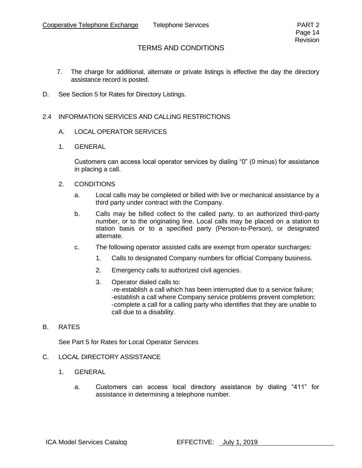- 7. The charge for additional, alternate or private listings is effective the day the directory assistance record is posted.
- D. See Section 5 for Rates for Directory Listings.

#### 2.4 INFORMATION SERVICES AND CALLING RESTRICTIONS

- A. LOCAL OPERATOR SERVICES
- 1. GENERAL

Customers can access local operator services by dialing "0" (0 minus) for assistance in placing a call.

- 2. CONDITIONS
	- a. Local calls may be completed or billed with live or mechanical assistance by a third party under contract with the Company.
	- b. Calls may be billed collect to the called party, to an authorized third-party number, or to the originating line. Local calls may be placed on a station to station basis or to a specified party (Person-to-Person), or designated alternate.
	- c. The following operator assisted calls are exempt from operator surcharges:
		- 1. Calls to designated Company numbers for official Company business.
		- 2. Emergency calls to authorized civil agencies.
		- 3. Operator dialed calls to: -re-establish a call which has been interrupted due to a service failure; -establish a call where Company service problems prevent completion; -complete a call for a calling party who identifies that they are unable to call due to a disability.
- B. RATES

See Part 5 for Rates for Local Operator Services

- C. LOCAL DIRECTORY ASSISTANCE
	- 1. GENERAL
		- a. Customers can access local directory assistance by dialing "411" for assistance in determining a telephone number.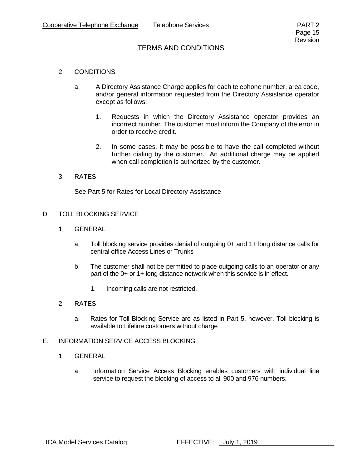#### 2. CONDITIONS

- a. A Directory Assistance Charge applies for each telephone number, area code, and/or general information requested from the Directory Assistance operator except as follows:
	- 1. Requests in which the Directory Assistance operator provides an incorrect number. The customer must inform the Company of the error in order to receive credit.
	- 2. In some cases, it may be possible to have the call completed without further dialing by the customer. An additional charge may be applied when call completion is authorized by the customer.

#### 3. RATES

See Part 5 for Rates for Local Directory Assistance

#### D. TOLL BLOCKING SERVICE

- 1. GENERAL
	- a. Toll blocking service provides denial of outgoing 0+ and 1+ long distance calls for central office Access Lines or Trunks
	- b. The customer shall not be permitted to place outgoing calls to an operator or any part of the 0+ or 1+ long distance network when this service is in effect.
		- 1. Incoming calls are not restricted.
- 2. RATES
	- a. Rates for Toll Blocking Service are as listed in Part 5, however, Toll blocking is available to Lifeline customers without charge

#### E. INFORMATION SERVICE ACCESS BLOCKING

- 1. GENERAL
	- a. Information Service Access Blocking enables customers with individual line service to request the blocking of access to all 900 and 976 numbers.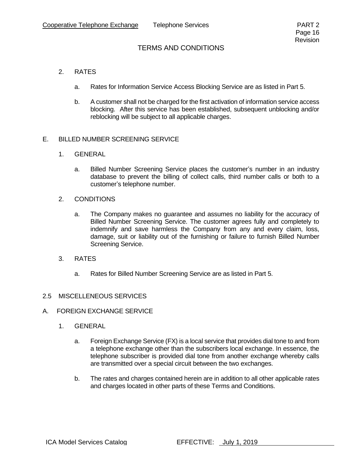#### 2. RATES

- a. Rates for Information Service Access Blocking Service are as listed in Part 5.
- b. A customer shall not be charged for the first activation of information service access blocking. After this service has been established, subsequent unblocking and/or reblocking will be subject to all applicable charges.

#### E. BILLED NUMBER SCREENING SERVICE

- 1. GENERAL
	- a. Billed Number Screening Service places the customer's number in an industry database to prevent the billing of collect calls, third number calls or both to a customer's telephone number.
- 2. CONDITIONS
	- a. The Company makes no guarantee and assumes no liability for the accuracy of Billed Number Screening Service. The customer agrees fully and completely to indemnify and save harmless the Company from any and every claim, loss, damage, suit or liability out of the furnishing or failure to furnish Billed Number Screening Service.
- 3. RATES
	- a. Rates for Billed Number Screening Service are as listed in Part 5.

#### 2.5 MISCELLENEOUS SERVICES

- A. FOREIGN EXCHANGE SERVICE
	- 1. GENERAL
		- a. Foreign Exchange Service (FX) is a local service that provides dial tone to and from a telephone exchange other than the subscribers local exchange. In essence, the telephone subscriber is provided dial tone from another exchange whereby calls are transmitted over a special circuit between the two exchanges.
		- b. The rates and charges contained herein are in addition to all other applicable rates and charges located in other parts of these Terms and Conditions.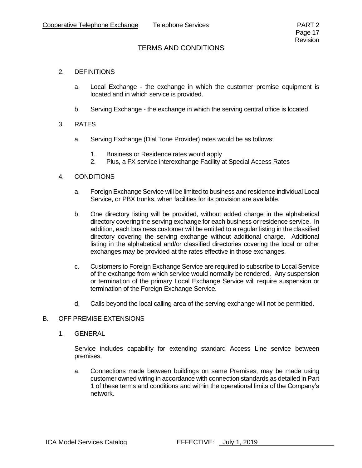#### 2. DEFINITIONS

- a. Local Exchange the exchange in which the customer premise equipment is located and in which service is provided.
- b. Serving Exchange the exchange in which the serving central office is located.

#### 3. RATES

- a. Serving Exchange (Dial Tone Provider) rates would be as follows:
	- 1. Business or Residence rates would apply
	- 2. Plus, a FX service interexchange Facility at Special Access Rates

#### 4. CONDITIONS

- a. Foreign Exchange Service will be limited to business and residence individual Local Service, or PBX trunks, when facilities for its provision are available.
- b. One directory listing will be provided, without added charge in the alphabetical directory covering the serving exchange for each business or residence service. In addition, each business customer will be entitled to a regular listing in the classified directory covering the serving exchange without additional charge. Additional listing in the alphabetical and/or classified directories covering the local or other exchanges may be provided at the rates effective in those exchanges.
- c. Customers to Foreign Exchange Service are required to subscribe to Local Service of the exchange from which service would normally be rendered. Any suspension or termination of the primary Local Exchange Service will require suspension or termination of the Foreign Exchange Service.
- d. Calls beyond the local calling area of the serving exchange will not be permitted.

#### B. OFF PREMISE EXTENSIONS

1. GENERAL

Service includes capability for extending standard Access Line service between premises.

a. Connections made between buildings on same Premises, may be made using customer owned wiring in accordance with connection standards as detailed in Part 1 of these terms and conditions and within the operational limits of the Company's network.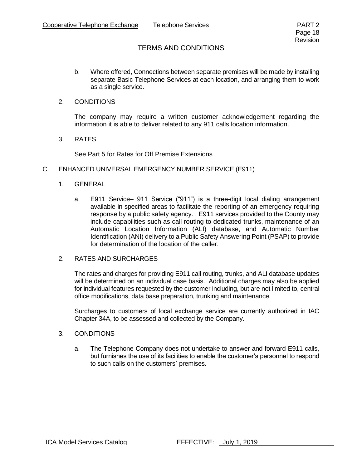- b. Where offered, Connections between separate premises will be made by installing separate Basic Telephone Services at each location, and arranging them to work as a single service.
- 2. CONDITIONS

The company may require a written customer acknowledgement regarding the information it is able to deliver related to any 911 calls location information.

3. RATES

See Part 5 for Rates for Off Premise Extensions

- C. ENHANCED UNIVERSAL EMERGENCY NUMBER SERVICE (E911)
	- 1. GENERAL
		- a. E911 Service– 911 Service ("911") is a three-digit local dialing arrangement available in specified areas to facilitate the reporting of an emergency requiring response by a public safety agency. . E911 services provided to the County may include capabilities such as call routing to dedicated trunks, maintenance of an Automatic Location Information (ALI) database, and Automatic Number Identification (ANI) delivery to a Public Safety Answering Point (PSAP) to provide for determination of the location of the caller.
	- 2. RATES AND SURCHARGES

The rates and charges for providing E911 call routing, trunks, and ALI database updates will be determined on an individual case basis. Additional charges may also be applied for individual features requested by the customer including, but are not limited to, central office modifications, data base preparation, trunking and maintenance.

Surcharges to customers of local exchange service are currently authorized in IAC Chapter 34A, to be assessed and collected by the Company.

- 3. CONDITIONS
	- a. The Telephone Company does not undertake to answer and forward E911 calls, but furnishes the use of its facilities to enable the customer's personnel to respond to such calls on the customers` premises.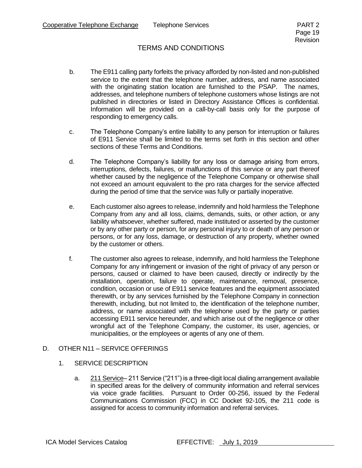- b. The E911 calling party forfeits the privacy afforded by non-listed and non-published service to the extent that the telephone number, address, and name associated with the originating station location are furnished to the PSAP. The names, addresses, and telephone numbers of telephone customers whose listings are not published in directories or listed in Directory Assistance Offices is confidential. Information will be provided on a call-by-call basis only for the purpose of responding to emergency calls.
- c. The Telephone Company's entire liability to any person for interruption or failures of E911 Service shall be limited to the terms set forth in this section and other sections of these Terms and Conditions.
- d. The Telephone Company's liability for any loss or damage arising from errors, interruptions, defects, failures, or malfunctions of this service or any part thereof whether caused by the negligence of the Telephone Company or otherwise shall not exceed an amount equivalent to the pro rata charges for the service affected during the period of time that the service was fully or partially inoperative.
- e. Each customer also agrees to release, indemnify and hold harmless the Telephone Company from any and all loss, claims, demands, suits, or other action, or any liability whatsoever, whether suffered, made instituted or asserted by the customer or by any other party or person, for any personal injury to or death of any person or persons, or for any loss, damage, or destruction of any property, whether owned by the customer or others.
- f. The customer also agrees to release, indemnify, and hold harmless the Telephone Company for any infringement or invasion of the right of privacy of any person or persons, caused or claimed to have been caused, directly or indirectly by the installation, operation, failure to operate, maintenance, removal, presence, condition, occasion or use of E911 service features and the equipment associated therewith, or by any services furnished by the Telephone Company in connection therewith, including, but not limited to, the identification of the telephone number, address, or name associated with the telephone used by the party or parties accessing E911 service hereunder, and which arise out of the negligence or other wrongful act of the Telephone Company, the customer, its user, agencies, or municipalities, or the employees or agents of any one of them.

#### D. OTHER N11 – SERVICE OFFERINGS

#### 1. SERVICE DESCRIPTION

a. 211 Service– 211 Service ("211") is a three-digit local dialing arrangement available in specified areas for the delivery of community information and referral services via voice grade facilities. Pursuant to Order 00-256, issued by the Federal Communications Commission (FCC) in CC Docket 92-105, the 211 code is assigned for access to community information and referral services.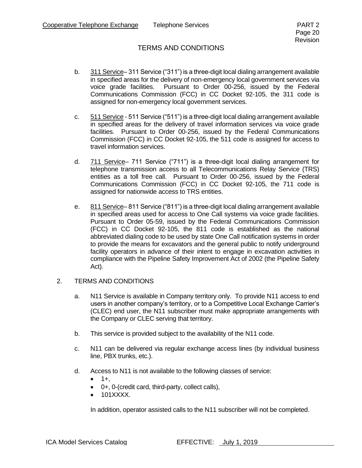- b. 311 Service– 311 Service ("311") is a three-digit local dialing arrangement available in specified areas for the delivery of non-emergency local government services via voice grade facilities. Pursuant to Order 00-256, issued by the Federal Communications Commission (FCC) in CC Docket 92-105, the 311 code is assigned for non-emergency local government services.
- c. 511 Service 511 Service ("511") is a three-digit local dialing arrangement available in specified areas for the delivery of travel information services via voice grade facilities. Pursuant to Order 00-256, issued by the Federal Communications Commission (FCC) in CC Docket 92-105, the 511 code is assigned for access to travel information services.
- d. 711 Service- 711 Service ("711") is a three-digit local dialing arrangement for telephone transmission access to all Telecommunications Relay Service (TRS) entities as a toll free call. Pursuant to Order 00-256, issued by the Federal Communications Commission (FCC) in CC Docket 92-105, the 711 code is assigned for nationwide access to TRS entities.
- e. 811 Service– 811 Service ("811") is a three-digit local dialing arrangement available in specified areas used for access to One Call systems via voice grade facilities. Pursuant to Order 05-59, issued by the Federal Communications Commission (FCC) in CC Docket 92-105, the 811 code is established as the national abbreviated dialing code to be used by state One Call notification systems in order to provide the means for excavators and the general public to notify underground facility operators in advance of their intent to engage in excavation activities in compliance with the Pipeline Safety Improvement Act of 2002 (the Pipeline Safety Act).

#### 2. TERMS AND CONDITIONS

- a. N11 Service is available in Company territory only. To provide N11 access to end users in another company's territory, or to a Competitive Local Exchange Carrier's (CLEC) end user, the N11 subscriber must make appropriate arrangements with the Company or CLEC serving that territory.
- b. This service is provided subject to the availability of the N11 code.
- c. N11 can be delivered via regular exchange access lines (by individual business line, PBX trunks, etc.).
- d. Access to N11 is not available to the following classes of service:
	- $1+,$
	- 0+, 0-(credit card, third-party, collect calls),
	- 101XXXX.

In addition, operator assisted calls to the N11 subscriber will not be completed.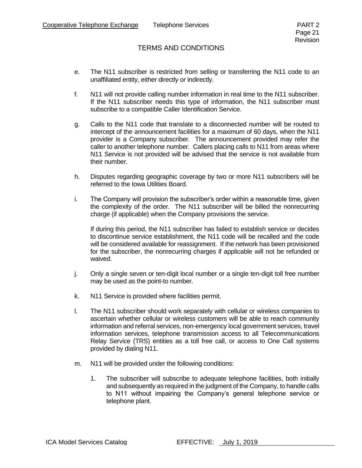- e. The N11 subscriber is restricted from selling or transferring the N11 code to an unaffiliated entity, either directly or indirectly.
- f. N11 will not provide calling number information in real time to the N11 subscriber. If the N11 subscriber needs this type of information, the N11 subscriber must subscribe to a compatible Caller Identification Service.
- g. Calls to the N11 code that translate to a disconnected number will be routed to intercept of the announcement facilities for a maximum of 60 days, when the N11 provider is a Company subscriber. The announcement provided may refer the caller to another telephone number. Callers placing calls to N11 from areas where N11 Service is not provided will be advised that the service is not available from their number.
- h. Disputes regarding geographic coverage by two or more N11 subscribers will be referred to the Iowa Utilities Board.
- i. The Company will provision the subscriber's order within a reasonable time, given the complexity of the order. The N11 subscriber will be billed the nonrecurring charge (if applicable) when the Company provisions the service.

If during this period, the N11 subscriber has failed to establish service or decides to discontinue service establishment, the N11 code will be recalled and the code will be considered available for reassignment. If the network has been provisioned for the subscriber, the nonrecurring charges if applicable will not be refunded or waived.

- j. Only a single seven or ten-digit local number or a single ten-digit toll free number may be used as the point-to number.
- k. N11 Service is provided where facilities permit.
- l. The N11 subscriber should work separately with cellular or wireless companies to ascertain whether cellular or wireless customers will be able to reach community information and referral services, non-emergency local government services, travel information services, telephone transmission access to all Telecommunications Relay Service (TRS) entities as a toll free call, or access to One Call systems provided by dialing N11.
- m. N11 will be provided under the following conditions:
	- 1. The subscriber will subscribe to adequate telephone facilities, both initially and subsequently as required in the judgment of the Company, to handle calls to N11 without impairing the Company's general telephone service or telephone plant.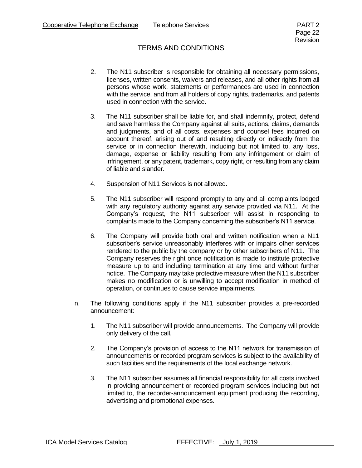- 2. The N11 subscriber is responsible for obtaining all necessary permissions, licenses, written consents, waivers and releases, and all other rights from all persons whose work, statements or performances are used in connection with the service, and from all holders of copy rights, trademarks, and patents used in connection with the service.
- 3. The N11 subscriber shall be liable for, and shall indemnify, protect, defend and save harmless the Company against all suits, actions, claims, demands and judgments, and of all costs, expenses and counsel fees incurred on account thereof, arising out of and resulting directly or indirectly from the service or in connection therewith, including but not limited to, any loss, damage, expense or liability resulting from any infringement or claim of infringement, or any patent, trademark, copy right, or resulting from any claim of liable and slander.
- 4. Suspension of N11 Services is not allowed.
- 5. The N11 subscriber will respond promptly to any and all complaints lodged with any regulatory authority against any service provided via N11. At the Company's request, the N11 subscriber will assist in responding to complaints made to the Company concerning the subscriber's N11 service.
- 6. The Company will provide both oral and written notification when a N11 subscriber's service unreasonably interferes with or impairs other services rendered to the public by the company or by other subscribers of N11. The Company reserves the right once notification is made to institute protective measure up to and including termination at any time and without further notice. The Company may take protective measure when the N11 subscriber makes no modification or is unwilling to accept modification in method of operation, or continues to cause service impairments.
- n. The following conditions apply if the N11 subscriber provides a pre-recorded announcement:
	- 1. The N11 subscriber will provide announcements. The Company will provide only delivery of the call.
	- 2. The Company's provision of access to the N11 network for transmission of announcements or recorded program services is subject to the availability of such facilities and the requirements of the local exchange network.
	- 3. The N11 subscriber assumes all financial responsibility for all costs involved in providing announcement or recorded program services including but not limited to, the recorder-announcement equipment producing the recording, advertising and promotional expenses.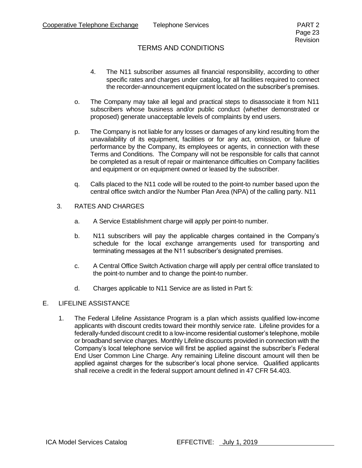- 4. The N11 subscriber assumes all financial responsibility, according to other specific rates and charges under catalog, for all facilities required to connect the recorder-announcement equipment located on the subscriber's premises.
- o. The Company may take all legal and practical steps to disassociate it from N11 subscribers whose business and/or public conduct (whether demonstrated or proposed) generate unacceptable levels of complaints by end users.
- p. The Company is not liable for any losses or damages of any kind resulting from the unavailability of its equipment, facilities or for any act, omission, or failure of performance by the Company, its employees or agents, in connection with these Terms and Conditions. The Company will not be responsible for calls that cannot be completed as a result of repair or maintenance difficulties on Company facilities and equipment or on equipment owned or leased by the subscriber.
- q. Calls placed to the N11 code will be routed to the point-to number based upon the central office switch and/or the Number Plan Area (NPA) of the calling party. N11

#### 3. RATES AND CHARGES

- a. A Service Establishment charge will apply per point-to number.
- b. N11 subscribers will pay the applicable charges contained in the Company's schedule for the local exchange arrangements used for transporting and terminating messages at the N11 subscriber's designated premises.
- c. A Central Office Switch Activation charge will apply per central office translated to the point-to number and to change the point-to number.
- d. Charges applicable to N11 Service are as listed in Part 5:

### E. LIFELINE ASSISTANCE

1. The Federal Lifeline Assistance Program is a plan which assists qualified low-income applicants with discount credits toward their monthly service rate. Lifeline provides for a federally-funded discount credit to a low-income residential customer's telephone, mobile or broadband service charges. Monthly Lifeline discounts provided in connection with the Company's local telephone service will first be applied against the subscriber's Federal End User Common Line Charge. Any remaining Lifeline discount amount will then be applied against charges for the subscriber's local phone service. Qualified applicants shall receive a credit in the federal support amount defined in 47 CFR 54.403.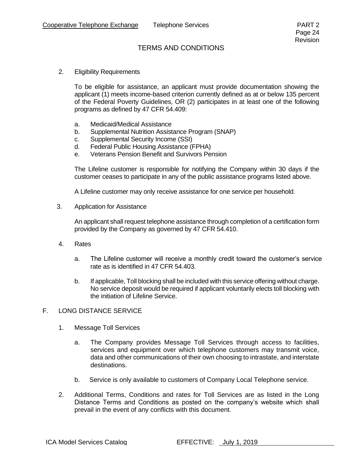2. Eligibility Requirements

To be eligible for assistance, an applicant must provide documentation showing the applicant (1) meets income-based criterion currently defined as at or below 135 percent of the Federal Poverty Guidelines, OR (2) participates in at least one of the following programs as defined by 47 CFR 54.409:

- a. Medicaid/Medical Assistance
- b. Supplemental Nutrition Assistance Program (SNAP)
- c. Supplemental Security Income (SSI)
- d. Federal Public Housing Assistance (FPHA)
- e. Veterans Pension Benefit and Survivors Pension

The Lifeline customer is responsible for notifying the Company within 30 days if the customer ceases to participate in any of the public assistance programs listed above.

A Lifeline customer may only receive assistance for one service per household.

3. Application for Assistance

An applicant shall request telephone assistance through completion of a certification form provided by the Company as governed by 47 CFR 54.410.

- 4. Rates
	- a. The Lifeline customer will receive a monthly credit toward the customer's service rate as is identified in 47 CFR 54.403.
	- b. If applicable, Toll blocking shall be included with this service offering without charge. No service deposit would be required if applicant voluntarily elects toll blocking with the initiation of Lifeline Service.

#### F. LONG DISTANCE SERVICE

- 1. Message Toll Services
	- a. The Company provides Message Toll Services through access to facilities, services and equipment over which telephone customers may transmit voice, data and other communications of their own choosing to intrastate, and interstate destinations.
	- b. Service is only available to customers of Company Local Telephone service.
- 2. Additional Terms, Conditions and rates for Toll Services are as listed in the Long Distance Terms and Conditions as posted on the company's website which shall prevail in the event of any conflicts with this document.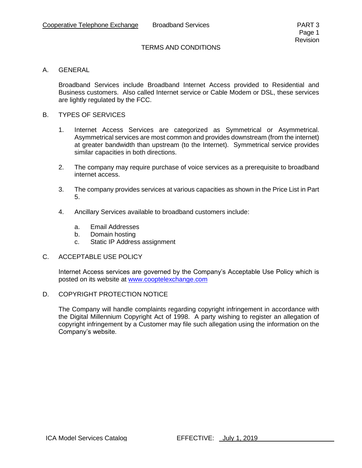#### A. GENERAL

Broadband Services include Broadband Internet Access provided to Residential and Business customers. Also called Internet service or Cable Modem or DSL, these services are lightly regulated by the FCC.

#### B. TYPES OF SERVICES

- 1. Internet Access Services are categorized as Symmetrical or Asymmetrical. Asymmetrical services are most common and provides downstream (from the internet) at greater bandwidth than upstream (to the Internet). Symmetrical service provides similar capacities in both directions.
- 2. The company may require purchase of voice services as a prerequisite to broadband internet access.
- 3. The company provides services at various capacities as shown in the Price List in Part 5.
- 4. Ancillary Services available to broadband customers include:
	- a. Email Addresses
	- b. Domain hosting
	- c. Static IP Address assignment

#### C. ACCEPTABLE USE POLICY

Internet Access services are governed by the Company's Acceptable Use Policy which is posted on its website at [www.cooptelexchange.com](http://www.cooptelexchange.com/)

#### D. COPYRIGHT PROTECTION NOTICE

The Company will handle complaints regarding copyright infringement in accordance with the Digital Millennium Copyright Act of 1998. A party wishing to register an allegation of copyright infringement by a Customer may file such allegation using the information on the Company's website.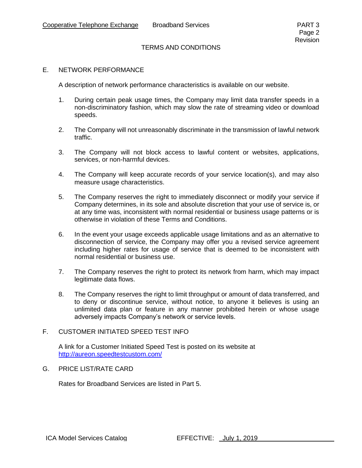#### E. NETWORK PERFORMANCE

A description of network performance characteristics is available on our website.

- 1. During certain peak usage times, the Company may limit data transfer speeds in a non-discriminatory fashion, which may slow the rate of streaming video or download speeds.
- 2. The Company will not unreasonably discriminate in the transmission of lawful network traffic.
- 3. The Company will not block access to lawful content or websites, applications, services, or non-harmful devices.
- 4. The Company will keep accurate records of your service location(s), and may also measure usage characteristics.
- 5. The Company reserves the right to immediately disconnect or modify your service if Company determines, in its sole and absolute discretion that your use of service is, or at any time was, inconsistent with normal residential or business usage patterns or is otherwise in violation of these Terms and Conditions.
- 6. In the event your usage exceeds applicable usage limitations and as an alternative to disconnection of service, the Company may offer you a revised service agreement including higher rates for usage of service that is deemed to be inconsistent with normal residential or business use.
- 7. The Company reserves the right to protect its network from harm, which may impact legitimate data flows.
- 8. The Company reserves the right to limit throughput or amount of data transferred, and to deny or discontinue service, without notice, to anyone it believes is using an unlimited data plan or feature in any manner prohibited herein or whose usage adversely impacts Company's network or service levels.

#### F. CUSTOMER INITIATED SPEED TEST INFO

A link for a Customer Initiated Speed Test is posted on its website at <http://aureon.speedtestcustom.com/>

#### G. PRICE LIST/RATE CARD

Rates for Broadband Services are listed in Part 5.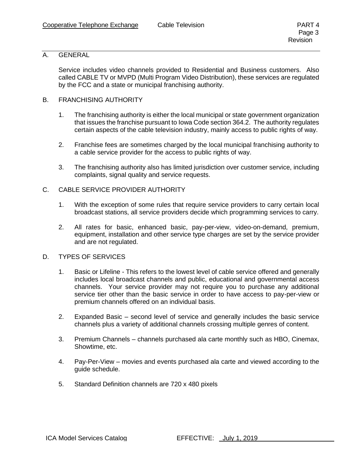#### A. GENERAL

Service includes video channels provided to Residential and Business customers. Also called CABLE TV or MVPD (Multi Program Video Distribution), these services are regulated by the FCC and a state or municipal franchising authority.

#### B. FRANCHISING AUTHORITY

- 1. The franchising authority is either the local municipal or state government organization that issues the franchise pursuant to Iowa Code section 364.2. The authority regulates certain aspects of the cable television industry, mainly access to public rights of way.
- 2. Franchise fees are sometimes charged by the local municipal franchising authority to a cable service provider for the access to public rights of way.
- 3. The franchising authority also has limited jurisdiction over customer service, including complaints, signal quality and service requests.

#### C. CABLE SERVICE PROVIDER AUTHORITY

- 1. With the exception of some rules that require service providers to carry certain local broadcast stations, all service providers decide which programming services to carry.
- 2. All rates for basic, enhanced basic, pay-per-view, video-on-demand, premium, equipment, installation and other service type charges are set by the service provider and are not regulated.

#### D. TYPES OF SERVICES

- 1. Basic or Lifeline This refers to the lowest level of cable service offered and generally includes local broadcast channels and public, educational and governmental access channels. Your service provider may not require you to purchase any additional service tier other than the basic service in order to have access to pay-per-view or premium channels offered on an individual basis.
- 2. Expanded Basic second level of service and generally includes the basic service channels plus a variety of additional channels crossing multiple genres of content.
- 3. Premium Channels channels purchased ala carte monthly such as HBO, Cinemax, Showtime, etc.
- 4. Pay-Per-View movies and events purchased ala carte and viewed according to the guide schedule.
- 5. Standard Definition channels are 720 x 480 pixels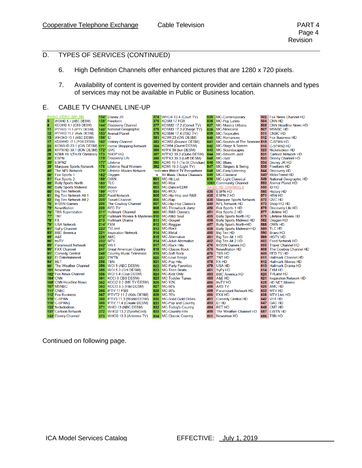### D. TYPES OF SERVICES (CONTINUED)

- 6. High Definition Channels offer enhanced pictures that are 1280 x 720 pixels.
- 7. Availability of content is governed by content provider and certain channels and types of services may not be available in Public or Business location.

### E. CABLE TV CHANNEL LINE-UP

|                 |              | <b>BASIC VIDEO (\$91.95)</b>    |               | 134* Disney JR                  | 374     | <b>WHO4 13.4 (Court TV)</b>      | 835 | MC-Contemporary                | 502    | <b>Fox News Channel HD</b>     |
|-----------------|--------------|---------------------------------|---------------|---------------------------------|---------|----------------------------------|-----|--------------------------------|--------|--------------------------------|
| 5               |              | WOIHD 5.1 (ABC DESM)            |               | 138* Freeform                   | 376     | <b>KDSM 17 FOX</b>               | 836 | <b>MC-Pop Latino</b>           | 504    | <b>CNN HD</b>                  |
| 8               |              | KCCIHD 8.1 (CBS DESM)           |               | 144* Discovery Channel          | 377     | KDSM2 17.2 (Comet TV)            | 837 | <b>MC-Musica Urbana</b>        | 505    | CNN Headline News HD           |
| 11              |              | IPTVHD 11.1 (IPTV DESM)         | $149*$        | National Geographic             | 378     | KDSM3 17.3 (Charge TV)           | 838 | MC-Mexicana                    | 507    | <b>MSNBC HD</b>                |
| 12              |              | IPTVHD 11.2 (Kids DESM)         |               | 153* Animal Planet              | 379     | <b>KDSM4 17.4 (TBD TV)</b>       | 839 | <b>MC-Tropicales</b>           | 511    | <b>CNBC HD</b>                 |
| 13              |              | WHOHD 13.1 (NBC DESM)           | 156*          | IID                             | 381     | KCWI 23 (CW DESM)                | 840 | <b>MC-Romances</b>             | 512    | <b>Fox Business HD</b>         |
| 17              |              | KDSMHD 17.1 (FOX DESM)          | $160*$        | <b>History Channel</b>          | 383     | KCWI3 (Bounce DESM)              | 841 | MC-Sounds of The Seasons 515   |        | <b>C-SPAN HD</b>               |
| 23              |              | KCWIHD 23.1 (CW DESM) 171*      |               | <b>Home Shopping Network</b>    | 384     | <b>KCWI4 (Quest DESM)</b>        | 842 | MC-Stage & Screen              | 516    | C-SPAN2 HD                     |
| 26              |              | KFPXHD 39.1 (ION DESM) 172*     |               | QVC                             | 386     | KFPX 39 (Ion DESM)               | 843 | <b>MC-Soundscapes</b>          | 523    | Nickelodeon HD                 |
| 28              |              | KDMI 19.1(Tri-St Christian) 173 |               | <b>SHOP HQ</b>                  | 387     | KFPX2 39.2 (Qubo DESM)           | 844 | <b>MC-Smooth Jazz</b>          | 531    | Cartoon Network HD             |
| 30 <sup>7</sup> |              | ESPN                            |               | 175* Discovery Life             | 388     | KFPX3 39.3 (Laff DESM)           | 845 | MC-Jazz                        | 533    | <b>Disney Channel HD</b>       |
| 35'             |              | ESPN <sub>2</sub>               | 177"          | Lifetime                        | 390     | KDMI 19.1 (Tri-St Christian) 846 |     | <b>MC-Blues</b>                | 534    | Disney JR HD                   |
| 38'             |              | Marquee Sports Network          | 178           | Lifetime Real Women             | 392     | KDMI 19.3 (Light TV)             | 847 | <b>MC-Singers &amp; Swing</b>  | 538    | <b>Freeform HD</b>             |
|                 | 40           | <b>The NFL Network</b>          | $179*$        | <b>Lifetime Movies Network</b>  |         | *indicates Watch TV Everywhere   | 848 | MC-Easy Listening              | 544    | <b>Discovery HD</b>            |
| 50              |              | Fox Sports 1                    | $182*$        | Oxygen                          | $\star$ | <b>All Music Choice Channels</b> | 849 | <b>MC-Classical</b>            | $545*$ | <b>MotorTrend HD</b>           |
| 51              |              | <b>Fox Sports 2</b>             | $188*$        | <b>OWN</b>                      | 801     | <b>MC-Hit List</b>               | 850 | <b>MC-Light Classical</b>      | 549    | National Geographic HD         |
| 55              |              | <b>Bally Sports North</b>       | $189*$        | <b>TLC</b>                      | 802     | MC-Max                           |     | 1001 Community Channel         | 553    | <b>Animal Planet HD</b>        |
| 56              |              | <b>Bally Sports Midwest</b>     | $190^*$       | <b>Bravo</b>                    | 803     | MC-Dance/EDM                     |     | <b>BASIC HD CHANNELS</b>       | 556    | <b>ID HD</b>                   |
| 60              |              | <b>Big Ten Network</b>          |               | 199* HGTV                       | 804     | <b>MC-MCU</b>                    | 430 | <b>ESPN HD</b>                 | 560    | <b>History HD</b>              |
| 61              |              | Big Ten Network Alt 1           | $202^*$       | <b>Food Network</b>             | 805     | MC-Hip-Hop and R&B               | 435 | <b>ESPN 2 HD</b>               | 571    | <b>HSN HD</b>                  |
| 62              |              | <b>Big Ten Network Alt 2</b>    | $205^*$       | <b>Travel Channel</b>           | 806     | MC-Rap                           | 438 | <b>Marquee Sports Network</b>  | 572    | <b>QVC HD</b>                  |
| 70              |              | <b>IHSSN Games</b>              | 208           | The Cowboy Channel              | 807     | <b>MC-Hip-Hop Classics</b>       | 440 | <b>NFL Network HD</b>          | 573    | Shop HQ HD                     |
| 75'             |              | <b>NewsNation</b>               | 209           | <b>RFD TV</b>                   | 808     | MC-Throwback Jamz                | 450 | Fox Sports 1 HD                | 575    | Discovery Life HD              |
| 76              |              | <b>TBS Superstation</b>         | $211^*$       | <b>Hallmark Channel</b>         | 809     | <b>MC-R&amp;B Classics</b>       | 451 | Fox Sports 2 HD                | 577    | Lifetime HD                    |
| 77              |              | TNT                             | 212"          | Hallmark Movies & Mysteries 810 |         | MC-R&B Soul                      | 455 | <b>Bally Sports North HD</b>   | 579    | Lifetime Movies HD             |
|                 | 78'          | <b>FX</b>                       | 213           | Hallmark Drama                  | 811     | <b>MC-Gospel</b>                 | 456 | <b>Bally Sports Midwest HD</b> | 582    | Oxygen HD                      |
| 79              |              | <b>USA Network</b>              |               | 214* FXM                        | 812     | MC-Reggae                        | 457 | <b>Bally Sports North+HD</b>   | 588    | <b>OWN HD</b>                  |
| 81              |              | <b>SvFy Channel</b>             | $220*$        | <b>TVLand</b>                   | 813     | <b>MC-Rock</b>                   | 458 | <b>Bally Sports Midwest+HD</b> | 589    | <b>TLC HD</b>                  |
| 83              |              | <b>BBC</b> America              | 221           | <b>Inspiration Network</b>      | 814     | <b>MC-Metal</b>                  | 460 | <b>Big Ten HD</b>              | 590    | <b>Bravo HD</b>                |
| $85^{\circ}$    |              | A&E                             | $226^{\circ}$ | <b>AMC</b>                      | 815     | <b>MC-Alternative</b>            | 461 | Big Ten Alt 1 HD               | 599    | <b>HGTV HD</b>                 |
| 86              |              | truTV                           | $233*$        | <b>IMTV</b>                     | 814     | <b>MC-Adult Alternative</b>      | 462 | Big Ten Alt 2 HD               | 602    | <b>Food Network HD</b>         |
| 89'             |              | <b>Paramount Network</b>        | $242^*$       | $VH-1$                          | 817     | <b>MC-Rock Hits</b>              | 470 | <b>IHSSN Games HD</b>          | 605    | <b>Travel Channel HD</b>       |
| 90'             |              | <b>FXX Channel</b>              | 247           | <b>Great American Country</b>   | 818     | <b>MC-Classic Rock</b>           | 475 | <b>NewsNation HD</b>           | 608    | The Cowboy Channel HD          |
| $91^{\circ}$    |              | <b>Comedy Central</b>           | 248'          | <b>Country Music Television</b> | 819     | <b>MC-Soft Rock</b>              | 476 | <b>TBS HD</b>                  | 609    | <b>RFD TV HD</b>               |
|                 | 93'          | E! Entertainment                | 257           | <b>EWTN</b>                     | 820     | <b>MC-Love Songs</b>             | 477 | <b>TNT HD</b>                  | 611    | <b>Hallmark Channel HD</b>     |
|                 | $94*$        | <b>BET</b>                      | 258           | <b>TBN</b>                      | 821     | <b>MC-Pop Hits</b>               | 478 | <b>FX HD</b>                   | 612    | <b>Hallmark Movies HD</b>      |
|                 | $99^{\circ}$ | The Weather Channel             | 356           | WOI 5 (ABC DESM)                | 822     | <b>MC-Party Favorites</b>        | 479 | USA HD                         | 613    | Hallmark Drama HD              |
|                 | 101          | <b>Newsmax</b>                  | 358           | WOI 5.3 (Grit DESM)             | 823     | <b>MC-Teen Beats</b>             | 481 | <b>SyFy HD</b>                 | 614    | <b>FXM HD</b>                  |
|                 | $102*$       | <b>Fox News Channel</b>         | 359           | WOI 5.4 (Cozi DESM)             | 824     | <b>MC-Kidz Only</b>              | 483 | <b>BBC America HD</b>          | 620    | <b>TVLand HD</b>               |
|                 |              | <b>104* CNN</b>                 | 361           | <b>KCCI 8 CBS DESM)</b>         | 825     | <b>MC-Toddler Tunes</b>          | 485 | A&E HD                         | 621    | <b>Inspiration Network HD</b>  |
|                 |              | 105* CNN Headline News          | 362           | KCCI2 8.2 (ME TV DESM)          | 826     | MC-Y2K                           | 486 | truTV HD                       | 625    | <b>HD NET Movies</b>           |
|                 |              | 107*MSNBC                       | 363           | <b>KCCI3 8.3 (H&amp;I DESM)</b> | 827     | <b>MC-90's</b>                   | 488 | <b>AXS TV</b>                  | 626    | <b>AMC HD</b>                  |
|                 |              | <b>111' CNBC</b>                | 366           | <b>IPTV 11 PBS</b>              | 828     | <b>MC-80's</b>                   | 489 | <b>Paramount Network HD</b>    | 633    | <b>MTV HD</b>                  |
|                 |              | 112 <sup>*</sup> Fox Business   | 367           | IPTVT2 11.2 (Kids DESM)         | 829     | <b>MC-70's</b>                   | 490 | <b>FXX HD</b>                  | 638    | <b>MTV Live HD</b>             |
|                 |              | <b>115' C-SPAN</b>              | 368           | IPTV3 11.3 (World DESM)         | 830     | <b>MC-Solid Gold Oldies</b>      | 491 | <b>Comedy Central HD</b>       | 642    | VH <sub>1</sub> H <sub>D</sub> |
|                 |              | 116* C-SPAN2                    | 369           | <b>IPTV 11.4 (Create DESM)</b>  | 831     | MC-Pop and Country               | 493 | Ei HD                          | 647    | <b>GAC HD</b>                  |
|                 |              | 123* Nickelodeon                | 371           | WHO 13 (NBC DESM)               | 832     | MC-Today's Country               | 494 | <b>BET HD</b>                  | 648    | <b>CMT HD</b>                  |
|                 |              | <b>1311 Cartoon Network</b>     | 372           | WHO2 13.2 (SportsGrid)          | 833     | <b>MC-Country Hits</b>           | 499 | The Weather Channel HD         |        | 657 EWTN HD                    |
|                 |              | <b>133' Disney Channel</b>      | 373           | WHO3 13.3 (Antenna TV)          | 834     | <b>MC-Classic Country</b>        | 501 | Newsmax HD                     |        | 658 TBN HD                     |

Continued on following page.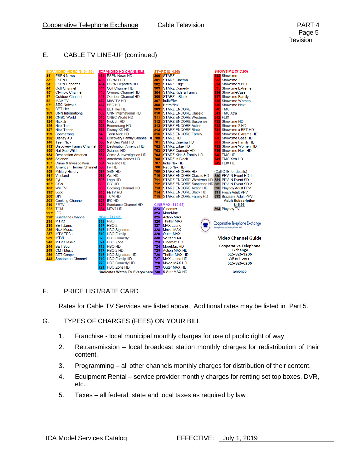#### E. CABLE TV LINE-UP (continued)

|               | <b>EXPANDED VIDEO (\$104.95)</b>   |     | <b>EXPANDED HD CHANNELS</b>        |      | <b>STARZ (\$14.95)</b>                         |     | <b>SHOWTIME (\$17.95)</b>              |
|---------------|------------------------------------|-----|------------------------------------|------|------------------------------------------------|-----|----------------------------------------|
| $31*$         | <b>ESPN News</b>                   |     | 431 ESPN News HD                   | 300* | <b>STARZ</b>                                   |     | 332 Showtime                           |
| $33*$         | <b>ESPN U</b>                      | 433 | <b>ESPNU HD</b>                    | 301  | <b>STARZ Cinema</b>                            |     | 333 Showtime 2                         |
| $34*$         | <b>ESPN Deportes</b>               | 434 | <b>ESPN Deportes HD</b>            | 302  | <b>STARZ</b> Edge                              |     | 334 Showtime x BET                     |
| 44            | <b>Golf Channel</b>                | 444 | <b>Golf Channel HD</b>             | 303  | <b>STARZ Comedy</b>                            |     | <b>335</b> Showtime Extreme            |
| 45            | <b>Olympic Channel</b>             | 445 | Olympic Channel HD                 | 304  | <b>STARZ Kids &amp; Family</b>                 |     | 336 ShowtimeCase                       |
| 47            | <b>Outdoor Channel</b>             | 447 | <b>Outdoor Channel HD</b>          | 305  | <b>STARZ InBlack</b>                           |     | <b>337</b> Showtime Family             |
| 52            | <b>MAV TV</b>                      | 452 | <b>MAV TV HD</b>                   | 307  | <b>IndiePlex</b>                               |     | <b>338</b> Showtime Women              |
| 67            | <b>SEC Network</b>                 | 467 | <b>ISEC HD</b>                     | 308  | <b>RetroPlex</b>                               |     | <b>339</b> Showtime Next               |
| 95            | <b>BFT Her</b>                     | 495 | <b>BET Her HD</b>                  | 309' | <b>STARZ ENCORE</b>                            |     | <b>340 TMC</b>                         |
| 109           | <b>CNN</b> International           | 509 | <b>CNN International HD</b>        | 310  | <b>STARZ ENCORE Classic</b>                    |     | <b>341</b> TMC Xtra                    |
| 110           | <b>CNBC World</b>                  | 510 | <b>CNBC World HD</b>               | 311  | <b>STARZ ENCORE Westerns</b>                   |     | <b>342 FLIX</b>                        |
| $124^{\circ}$ | Nick Jr.                           | 524 | Nick Jr. HD                        | 312  | <b>STARZ ENCORE Suspense</b>                   |     | <b>732</b> Showtime HD                 |
| 126           | <b>Nick Too</b>                    | 529 | <b>Boomerang HD</b>                | 313  | <b>STARZ ENCORE Action</b>                     |     | <b>733</b> Showtime 2 HD               |
| 127           | <b>Nick Toons</b>                  | 536 | <b>Disney XD HD</b>                | 314  | <b>STARZ ENCORE Black</b>                      |     | 734 Showtime x BET HD                  |
| 129           | <b>Boomerang</b>                   | 540 | <b>Teen Nick HD</b>                | 315  | <b>STARZ ENCORE Family</b>                     |     | <b>735</b> Showtime Extreme HD         |
| 136'          | <b>Disney XD</b>                   | 543 | Discovery Family Channel HD 700    |      | <b>STARZ HD</b>                                |     | <b>736</b> Showtime Case HD            |
| 140           | <b>Teen Nick</b>                   | 550 | Nat Geo Wild HD                    | 701  | <b>STARZ Cinema HD</b>                         | 737 | <b>Showtime Family HD</b>              |
| $143*$        | <b>Discovery Family Channel</b>    | 554 | <b>Destination America HD</b>      | 702  | STARZ Edge HD                                  |     | 738 Showtime Women HD                  |
| $150^{\circ}$ | Nat Geo Wild                       | 555 | Science HD                         | 703  | <b>STARZ Comedy HD</b>                         |     | 739 Showtime Next HD                   |
| $154*$        | <b>Destination America</b>         | 557 | Crime & Investigation HD           | 704  | <b>STARZ Kids &amp; Family HD</b>              |     | <b>740 TMC HD</b>                      |
| $155^{\circ}$ | Science                            | 558 | <b>American Heroes HD</b>          | 705  | <b>STARZ</b> in Black                          |     | 741 TMC Xtra HD                        |
| 157           | Crime & Investigation              | 561 | <b>Viceland HD</b>                 | 707  | IndiePlex HD                                   |     | <b>742 FLIX HD</b>                     |
| $158^{\circ}$ | <b>American Heroes Channel 563</b> |     | Fyi HD                             | 708  | <b>RetroPlex HD</b>                            |     |                                        |
| 159           | <b>Military History</b>            | 567 | <b>GSN HD</b>                      | 709  | <b>STARZ ENCORE HD</b>                         |     | (Call CTE for details)                 |
| $161*$        | Viceland                           | 583 | We HD                              | 710  | <b>STARZ ENCORE Classic HD</b>                 |     | 380 PPV iN Event HD 1                  |
| $163^{\circ}$ | Fyi                                | 595 | Logo HD                            | 711  | STARZ ENCORE Westerns HD 381 PPV IN Event SD 1 |     |                                        |
| 167           | <b>GSN</b>                         | 600 | <b>DIY HD</b>                      | 712  | STARZ ENCORE Suspense HD 382 PPV iN Event SD 2 |     |                                        |
| 183           | We TV                              | 603 | <b>Cooking Channel HD</b>          | 713  | <b>STARZ ENCORE Action HD</b>                  |     | 390 Playboy Adult PPV                  |
| 195'          | Logo                               | 610 | <b>FETV HD</b>                     | 714  | <b>STARZ ENCORE Black HD</b>                   |     | 391 Fresh Adult PPV                    |
| $200*$        | DIY                                | 622 | ITCM HD                            | 715  | STARZ ENCORE Family HD                         |     | 393 Brazzers Adult PPV                 |
| 203           | <b>Cooking Channel</b>             | 627 | <b>IFC HD</b>                      |      |                                                |     | <b>Adult Subscription</b>              |
| 210           | <b>FETV</b>                        | 628 | Sundance Channel HD                |      | <b>CINEMAX (\$12.95)</b>                       |     | \$15.95                                |
| $222^{\circ}$ | <b>TCM</b>                         |     | <b>634 MTV2 HD</b>                 |      | 323* Cinemax                                   |     | 394 Playboy TV                         |
| 227'          | <b>IFC</b>                         |     |                                    | 324  | <b>MoreMax</b>                                 |     |                                        |
| 228           | <b>Sundance Channel</b>            |     | HBO (\$17.95)                      | 325  | <b>Action MAX</b>                              |     |                                        |
| 234           | MTV <sub>2</sub>                   | 316 | <b>HBO</b>                         | 326  | <b>Thriller MAX</b>                            |     | Cooperative Telephone Exchange         |
| 235           | <b>BFT</b> Jams                    | 317 | HBO <sub>2</sub>                   | 327  | <b>MAX Latino</b>                              |     | Serving Kamrar and Stanhope Since 1946 |
| 236           | <b>Nick Music</b>                  | 318 | <b>HBO Signature</b>               | 328  | <b>Movie MAX</b>                               |     |                                        |
| 237           | <b>MTV TR3s</b>                    | 319 | <b>HBO Family</b>                  | 329  | <b>Outer MAX</b>                               |     |                                        |
| 239           | <b>MTVU</b>                        | 320 | <b>HBO Comedy</b>                  | 330  | 5-Star MAX                                     |     | <b>Video Channel Guide</b>             |
| 243           | <b>MTV Classic</b>                 | 321 | <b>HBO</b> Zone                    | 723  | Cinemax HD                                     |     |                                        |
| 244           | <b>BET Soul</b>                    | 716 | <b>HBO HD</b>                      | 724  | MoreMax HD                                     |     | <b>Cooperative Telephone</b>           |
| 249           | <b>CMT Music</b>                   | 717 | HBO <sub>2</sub> HD                | 725  | <b>Action MAX HD</b>                           |     | <b>Exchange</b>                        |
| 256           | <b>BET Gospel</b>                  | 718 | <b>HBO Signature HD</b>            | 726  | <b>Thriller MAX HD</b>                         |     | 515-826-3206                           |
| 448           | Sportsman Channel                  | 719 | <b>HBO Family HD</b>               | 727  | <b>MAX Latino HD</b>                           |     | <b>After hours</b>                     |
|               |                                    | 720 | <b>HBO Comedy HD</b>               | 728  | Movie MAX HD                                   |     | 515-826-6206                           |
|               |                                    | 721 | <b>HBO Zone HD</b>                 | 729  | Outer MAX HD                                   |     |                                        |
|               |                                    |     | *indicates Watch TV Everywhere 730 |      | 5-Star MAX HD                                  |     | 3/9/2022                               |

#### F. PRICE LIST/RATE CARD

Rates for Cable TV Services are listed above. Additional rates may be listed in Part 5.

- G. TYPES OF CHARGES (FEES) ON YOUR BILL
	- 1. Franchise local municipal monthly charges for use of public right of way.
	- 2. Retransmission local broadcast station monthly charges for redistribution of their content.
	- 3. Programming all other channels monthly charges for distribution of their content.
	- 4. Equipment Rental service provider monthly charges for renting set top boxes, DVR, etc.
	- 5. Taxes all federal, state and local taxes as required by law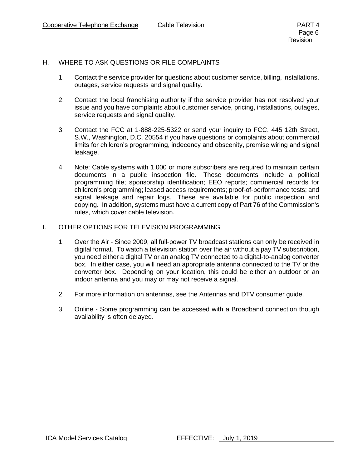#### H. WHERE TO ASK QUESTIONS OR FILE COMPLAINTS

- 1. Contact the service provider for questions about customer service, billing, installations, outages, service requests and signal quality.
- 2. Contact the local franchising authority if the service provider has not resolved your issue and you have complaints about customer service, pricing, installations, outages, service requests and signal quality.
- 3. Contact the FCC at 1-888-225-5322 or send your inquiry to FCC, 445 12th Street, S.W., Washington, D.C. 20554 if you have questions or complaints about commercial limits for children's programming, indecency and obscenity, premise wiring and signal leakage.
- 4. Note: Cable systems with 1,000 or more subscribers are required to maintain certain documents in a public inspection file. These documents include a political programming file; sponsorship identification; EEO reports; commercial records for children's programming; leased access requirements; proof-of-performance tests; and signal leakage and repair logs. These are available for public inspection and copying. In addition, systems must have a current copy of Part 76 of the Commission's rules, which cover cable television.

#### I. OTHER OPTIONS FOR TELEVISION PROGRAMMING

- 1. Over the Air Since 2009, all full-power TV broadcast stations can only be received in digital format. To watch a television station over the air without a pay TV subscription, you need either a digital TV or an analog TV connected to a digital-to-analog converter box. In either case, you will need an appropriate antenna connected to the TV or the converter box. Depending on your location, this could be either an outdoor or an indoor antenna and you may or may not receive a signal.
- 2. For more information on antennas, see the [Antennas and DTV consumer guide.](https://www.fcc.gov/guides/antennas-and-digital-television)
- 3. Online Some programming can be accessed with a Broadband connection though availability is often delayed.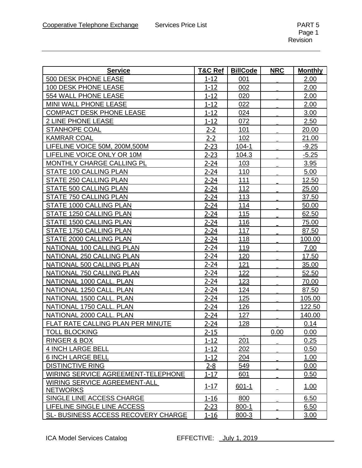| <b>Service</b>                           | T&C Ref  | <b>BillCode</b> | <b>NRC</b> | <b>Monthly</b> |
|------------------------------------------|----------|-----------------|------------|----------------|
| 500 DESK PHONE LEASE                     | $1 - 12$ | 001             |            | 2.00           |
| <b>100 DESK PHONE LEASE</b>              | $1 - 12$ | 002             |            | 2.00           |
| 554 WALL PHONE LEASE                     | $1 - 12$ | 020             |            | 2.00           |
| MINI WALL PHONE LEASE                    | $1 - 12$ | 022             |            | 2.00           |
| <b>COMPACT DESK PHONE LEASE</b>          | $1 - 12$ | 024             |            | 3.00           |
| 2 LINE PHONE LEASE                       | $1 - 12$ | 072             |            | 2.50           |
| <b>STANHOPE COAL</b>                     | $2 - 2$  | 101             |            | 20.00          |
| <b>KAMRAR COAL</b>                       | $2 - 2$  | 102             |            | 21.00          |
| LIFELINE VOICE 50M, 200M, 500M           | $2 - 23$ | $104 - 1$       |            | $-9.25$        |
| LIFELINE VOICE ONLY OR 10M               | $2 - 23$ | 104.3           |            | $-5.25$        |
| MONTHLY CHARGE CALLING PL                | $2 - 24$ | 103             |            | 3.95           |
| STATE 100 CALLING PLAN                   | $2 - 24$ | 110             |            | 5.00           |
| STATE 250 CALLING PLAN                   | $2 - 24$ | 111             |            | 12.50          |
| STATE 500 CALLING PLAN                   | $2 - 24$ | 112             |            | 25.00          |
| STATE 750 CALLING PLAN                   | $2 - 24$ | 113             |            | 37.50          |
| STATE 1000 CALLING PLAN                  | $2 - 24$ | 114             |            | 50.00          |
| STATE 1250 CALLING PLAN                  | $2 - 24$ | 115             |            | 62.50          |
| STATE 1500 CALLING PLAN                  | $2 - 24$ | 116             |            | 75.00          |
| STATE 1750 CALLING PLAN                  | 2-24     | 117             |            | 87.50          |
| STATE 2000 CALLING PLAN                  | $2 - 24$ | 118             |            | 100.00         |
| NATIONAL 100 CALLING PLAN                | $2 - 24$ | 119             |            | 7.00           |
| NATIONAL 250 CALLING PLAN                | $2 - 24$ | 120             |            | 17.50          |
| NATIONAL 500 CALLING PLAN                | $2 - 24$ | 121             |            | 35.00          |
| NATIONAL 750 CALLING PLAN                | $2 - 24$ | 122             |            | 52.50          |
| NATIONAL 1000 CALL. PLAN                 | $2 - 24$ | 123             |            | 70.00          |
| NATIONAL 1250 CALL. PLAN                 | $2 - 24$ | 124             |            | 87.50          |
| NATIONAL 1500 CALL. PLAN                 | $2 - 24$ | 125             |            | 105.00         |
| NATIONAL 1750 CALL. PLAN                 | $2 - 24$ | 126             |            | 122.50         |
| NATIONAL 2000 CALL. PLAN                 | $2 - 24$ | 127             |            | 140.00         |
| <b>FLAT RATE CALLING PLAN PER MINUTE</b> | $2 - 24$ | <u>128</u>      |            | 0.14           |
| <b>TOLL BLOCKING</b>                     | $2 - 15$ |                 | 0.00       | 0.00           |
| <b>RINGER &amp; BOX</b>                  | $1 - 12$ | 201             |            | 0.25           |
| <b>4 INCH LARGE BELL</b>                 | $1 - 12$ | 202             |            | 0.50           |
| <b>6 INCH LARGE BELL</b>                 | $1 - 12$ | 204             |            | 1.00           |
| <b>DISTINCTIVE RING</b>                  | $2 - 8$  | 549             |            | 0.00           |
| WIRING SERVICE AGREEMENT-TELEPHONE       | $1 - 17$ | 601             |            | 0.50           |
| WIRING SERVICE AGREEMENT-ALL             | $1 - 17$ | $601 - 1$       |            | 1.00           |
| <b>NETWORKS</b>                          |          |                 |            |                |
| SINGLE LINE ACCESS CHARGE                | $1 - 16$ | 800             |            | 6.50           |
| LIFELINE SINGLE LINE ACCESS              | $2 - 23$ | $800 - 1$       |            | 6.50           |
| SL- BUSINESS ACCESS RECOVERY CHARGE      | $1 - 16$ | 800-3           |            | 3.00           |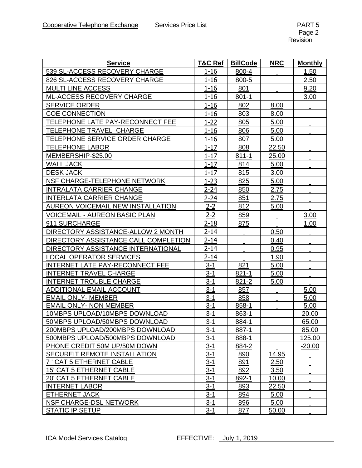| <b>Service</b>                       | T&C Ref    | <b>BillCode</b> | <b>NRC</b>   | <b>Monthly</b> |
|--------------------------------------|------------|-----------------|--------------|----------------|
| 539 SL-ACCESS RECOVERY CHARGE        | $1 - 16$   | 800-4           |              | 1.50           |
| 826 SL-ACCESS RECOVERY CHARGE        | $1 - 16$   | 800-5           |              | 2.50           |
| <b>MULTI LINE ACCESS</b>             | $1 - 16$   | 801             |              | 9.20           |
| ML-ACCESS RECOVERY CHARGE            | $1 - 16$   | $801 - 1$       |              | 3.00           |
| <b>SERVICE ORDER</b>                 | $1 - 16$   | 802             | 8.00         |                |
| <b>COE CONNECTION</b>                | $1 - 16$   | 803             | 8.00         |                |
| TELEPHONE LATE PAY-RECONNECT FEE     | $1 - 22$   | 805             | 5.00         |                |
| TELEPHONE TRAVEL CHARGE              | $1 - 16$   | 806             | 5.00         |                |
| TELEPHONE SERVICE ORDER CHARGE       | $1 - 16$   | 807             | 5.00         |                |
| <b>TELEPHONE LABOR</b>               | $1 - 17$   | 808             | 22.50        |                |
| MEMBERSHIP-\$25.00                   | $1 - 17$   | $811 - 1$       | 25.00        |                |
| WALL JACK                            | $1 - 17$   | 814             | 5.00         |                |
| <b>DESK JACK</b>                     | $1 - 17$   | 815             | 3.00         |                |
| NSF CHARGE-TELEPHONE NETWORK         | $1 - 23$   | 825             | 5.00         |                |
| <b>INTRALATA CARRIER CHANGE</b>      | $2 - 24$   | 850             | 2.75         |                |
| <b>INTERLATA CARRIER CHANGE</b>      | $2 - 24$   | 851             | 2.75         |                |
| AUREON VOICEMAIL NEW INSTALLATION    | <u>2-2</u> | 812             | 5.00         |                |
| <b>VOICEMAIL - AUREON BASIC PLAN</b> | $2 - 2$    | 859             |              | 3.00           |
| 911 SURCHARGE                        | $2 - 18$   | 875             |              | 1.00           |
| DIRECTORY ASSISTANCE-ALLOW 2 MONTH   | $2 - 14$   |                 | 0.50         |                |
| DIRECTORY ASSISTANCE CALL COMPLETION | $2 - 14$   |                 | 0.40         |                |
| DIRECTORY ASSISTANCE INTERNATIONAL   | $2 - 14$   |                 | 0.95         |                |
| <b>LOCAL OPERATOR SERVICES</b>       | $2 - 14$   |                 | 1.90         |                |
| INTERNET LATE PAY-RECONNECT FEE      | $3 - 1$    | 821             | 5.00         |                |
| <b>INTERNET TRAVEL CHARGE</b>        | $3 - 1$    | $821 - 1$       | 5.00         |                |
| <b>INTERNET TROUBLE CHARGE</b>       | $3 - 1$    | 821-2           | 5.00         |                |
| ADDITIONAL EMAIL ACCOUNT             | $3 - 1$    | 857             |              | 5.00           |
| <b>EMAIL ONLY- MEMBER</b>            | $3 - 1$    | 858             |              | 5.00           |
| <b>EMAIL ONLY- NON MEMBER</b>        | $3 - 1$    | 858-1           |              | 5.00           |
| 10MBPS UPLOAD/10MBPS DOWNLOAD        | $3 - 1$    | 863-1           |              | 20.00          |
| 50MBPS UPLOAD/50MBPS DOWNLOAD        | $3 - 1$    | 884-1           |              | 65.00          |
| 200MBPS UPLOAD/200MBPS DOWNLOAD      | $3 - 1$    | 887-1           |              | 85.00          |
| 500MBPS UPLOAD/500MBPS DOWNLOAD      | $3 - 1$    | 888-1           |              | 125.00         |
| PHONE CREDIT 50M UP/50M DOWN         | $3 - 1$    | 884-2           |              | $-20.00$       |
| SECUREIT REMOTE INSTALLATION         | $3 - 1$    | 890             | 14.95        |                |
| 7 ' CAT 5 ETHERNET CABLE             | $3 - 1$    | 891             | 2.50         |                |
| 15' CAT 5 ETHERNET CABLE             | $3 - 1$    | 892             | 3.50         |                |
| 20' CAT 5 ETHERNET CABLE             | $3 - 1$    | 892-1           | 10.00        |                |
| <b>INTERNET LABOR</b>                | $3 - 1$    | 893             | 22.50        |                |
| <b>ETHERNET JACK</b>                 | $3 - 1$    | 894             | 5.00         |                |
| NSF CHARGE-DSL NETWORK               | $3 - 1$    | 896             | 5.00         |                |
| <b>STATIC IP SETUP</b>               | <u>3-1</u> | <u>877</u>      | <u>50.00</u> |                |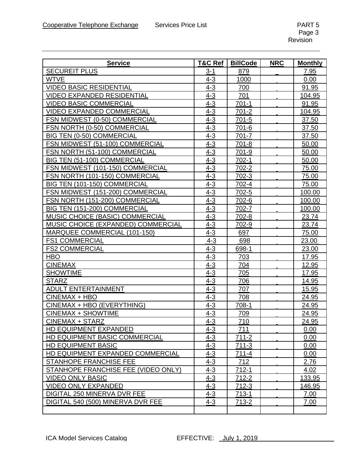| <b>Service</b>                      | <b>T&amp;C Ref</b> | <b>BillCode</b> | <b>NRC</b> | <b>Monthly</b> |
|-------------------------------------|--------------------|-----------------|------------|----------------|
| <b>SECUREIT PLUS</b>                | $3 - 1$            | 879             |            | 7.95           |
| <b>WTVE</b>                         | $4 - 3$            | 1000            |            | 0.00           |
| <b>VIDEO BASIC RESIDENTIAL</b>      | $4 - 3$            | 700             |            | 91.95          |
| <b>VIDEO EXPANDED RESIDENTIAL</b>   | $4 - 3$            | 701             |            | 104.95         |
| <b>VIDEO BASIC COMMERCIAL</b>       | $4 - 3$            | $701-1$         |            | 91.95          |
| <b>VIDEO EXPANDED COMMERCIAL</b>    | $4 - 3$            | $701 - 2$       |            | 104.95         |
| FSN MIDWEST (0-50) COMMERCIAL       | $4 - 3$            | $701 - 5$       |            | 37.50          |
| FSN NORTH (0-50) COMMERCIAL         | $4 - 3$            | $701 - 6$       |            | 37.50          |
| <b>BIG TEN (0-50) COMMERCIAL</b>    | $4 - 3$            | 701-7           |            | 37.50          |
| FSN MIDWEST (51-100) COMMERCIAL     | $4 - 3$            | $701 - 8$       |            | 50.00          |
| FSN NORTH (51-100) COMMERCIAL       | $4 - 3$            | 701-9           |            | 50.00          |
| BIG TEN (51-100) COMMERCIAL         | $4 - 3$            | $702-1$         |            | 50.00          |
| FSN MIDWEST (101-150) COMMERCIAL    | $4 - 3$            | 702-2           |            | 75.00          |
| FSN NORTH (101-150) COMMERCIAL      | $4 - 3$            | 702-3           |            | 75.00          |
| BIG TEN (101-150) COMMERCIAL        | $4 - 3$            | 702-4           |            | 75.00          |
| FSN MIDWEST (151-200) COMMERCIAL    | $4 - 3$            | 702-5           |            | 100.00         |
| FSN NORTH (151-200) COMMERCIAL      | $4 - 3$            | 702-6           |            | 100.00         |
| BIG TEN (151-200) COMMERCIAL        | $4 - 3$            | 702-7           |            | 100.00         |
| MUSIC CHOICE (BASIC) COMMERCIAL     | $4 - 3$            | 702-8           |            | 23.74          |
| MUSIC CHOICE (EXPANDED) COMMERCIAL  | $4 - 3$            | 702-9           |            | 23.74          |
| MARQUEE COMMERCIAL (101-150)        | $4 - 3$            | 697             |            | 75.00          |
| <b>FS1 COMMERCIAL</b>               | $4 - 3$            | 698             |            | 23.00          |
| <b>FS2 COMMERCIAL</b>               | $4 - 3$            | 698-1           |            | 23.00          |
| <b>HBO</b>                          | $4 - 3$            | 703             |            | 17.95          |
| <b>CINEMAX</b>                      | $4 - 3$            | 704             |            | 12.95          |
| <b>SHOWTIME</b>                     | $4 - 3$            | 705             |            | 17.95          |
| <b>STARZ</b>                        | $4 - 3$            | 706             |            | 14.95          |
| <b>ADULT ENTERTAINMENT</b>          | $4 - 3$            | 707             |            | 15.95          |
| CINEMAX + HBO                       | $4 - 3$            | 708             |            | 24.95          |
| CINEMAX + HBO (EVERYTHING)          | $4 - 3$            | 708-1           |            | 24.95          |
| <b>CINEMAX + SHOWTIME</b>           | $4 - 3$            | 709             |            | 24.95          |
| CINEMAX + STARZ                     | $4 - 3$            | 710             |            | 24.95          |
| HD EQUIPMENT EXPANDED               | $4 - 3$            | <u>711</u>      |            | 0.00           |
| HD EQUIPMENT BASIC COMMERCIAL       | $4 - 3$            | $711 - 2$       |            | 0.00           |
| <b>HD EQUIPMENT BASIC</b>           | $4 - 3$            | $711 - 3$       |            | 0.00           |
| HD EQUIPMENT EXPANDED COMMERCIAL    | $4 - 3$            | $711 - 4$       |            | 0.00           |
| STANHOPE FRANCHISE FEE              | $4 - 3$            | 712             |            | 2.76           |
| STANHOPE FRANCHISE FEE (VIDEO ONLY) | $4 - 3$            | $712 - 1$       |            | 4.02           |
| <b>VIDEO ONLY BASIC</b>             | $4 - 3$            | $712 - 2$       |            | 133.95         |
| <b>VIDEO ONLY EXPANDED</b>          | $4 - 3$            | 712-3           |            | 146.95         |
| DIGITAL 250 MINERVA DVR FEE         | $4 - 3$            | $713-1$         |            | 7.00           |
| DIGITAL 540 (500) MINERVA DVR FEE   | $4 - 3$            | 713-2           |            | 7.00           |
|                                     |                    |                 |            |                |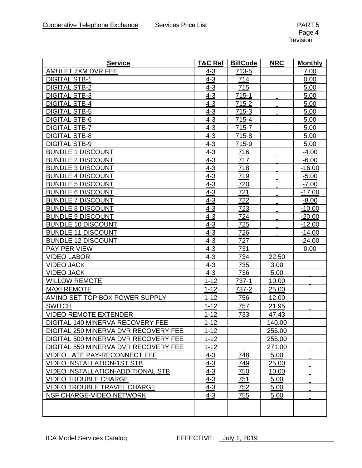| <b>Service</b>                           | <b>T&amp;C Ref</b> | <b>BillCode</b> | <b>NRC</b>     | <b>Monthly</b> |
|------------------------------------------|--------------------|-----------------|----------------|----------------|
| AMULET 7XM DVR FEE                       | 4-3                | 713-5           |                | 7.00           |
| <b>DIGITAL STB-1</b>                     | $4 - 3$            | 714             |                | 0.00           |
| <b>DIGITAL STB-2</b>                     | $4 - 3$            | 715             |                | 5.00           |
| <b>DIGITAL STB-3</b>                     | $4 - 3$            | $715 - 1$       |                | 5.00           |
| <b>DIGITAL STB-4</b>                     | $4 - 3$            | 715-2           |                | 5.00           |
| <b>DIGITAL STB-5</b>                     | $4 - 3$            | $715-3$         |                | 5.00           |
| <b>DIGITAL STB-6</b>                     | $4 - 3$            | 715-4           |                | 5.00           |
| <b>DIGITAL STB-7</b>                     | $4 - 3$            | 715-7           |                | 5.00           |
| <b>DIGITAL STB-8</b>                     | $4 - 3$            | 715-8           |                | 5.00           |
| <b>DIGITAL STB-9</b>                     | $4 - 3$            | 715-9           |                | 5.00           |
| <b>BUNDLE 1 DISCOUNT</b>                 | $4 - 3$            | 716             |                | $-4.00$        |
| <b>BUNDLE 2 DISCOUNT</b>                 | $4 - 3$            | 717             |                | $-6.00$        |
| <b>BUNDLE 3 DISCOUNT</b>                 | $4 - 3$            | 718             |                | $-16.00$       |
| <b>BUNDLE 4 DISCOUNT</b>                 | $4 - 3$            | 719             |                | $-5.00$        |
| <b>BUNDLE 5 DISCOUNT</b>                 | $4 - 3$            | 720             |                | $-7.00$        |
| <b>BUNDLE 6 DISCOUNT</b>                 | $4 - 3$            | 721             |                | $-17.00$       |
| <b>BUNDLE 7 DISCOUNT</b>                 | $4 - 3$            | 722             |                | $-8.00$        |
| <b>BUNDLE 8 DISCOUNT</b>                 | $4 - 3$            | 723             |                | $-10.00$       |
| <b>BUNDLE 9 DISCOUNT</b>                 | $4 - 3$            | 724             |                | $-20.00$       |
| <b>BUNDLE 10 DISCOUNT</b>                | $4 - 3$            | 725             |                | $-12.00$       |
| <b>BUNDLE 11 DISCOUNT</b>                | $4 - 3$            | 726             |                | $-14.00$       |
| <b>BUNDLE 12 DISCOUNT</b>                | $4 - 3$            | 727             |                | $-24.00$       |
| PAY PER VIEW                             | $4 - 3$            | 731             |                | 0.00           |
| <b>VIDEO LABOR</b>                       | $4 - 3$            | 734             | 22.50          |                |
| <b>VIDEO JACK</b>                        | $4 - 3$            | 735             | 3.00           |                |
| <b>VIDEO JACK</b>                        | $4 - 3$            | 736             | 5.00           |                |
| <b>WILLOW REMOTE</b>                     | $1 - 12$           | 737-1           | 10.00          |                |
| <b>MAXI REMOTE</b>                       | $1 - 12$           | 737-2           | 25.00          |                |
| AMINO SET TOP BOX POWER SUPPLY           | $1 - 12$           | 756             | 12.00          |                |
| <b>SWITCH</b>                            | $1 - 12$           | 757             | 21.95          |                |
| <b>VIDEO REMOTE EXTENDER</b>             | $1 - 12$           | 733             | 47.43          |                |
| DIGITAL 140 MINERVA RECOVERY FEE         | $1 - 12$           |                 | <u> 140.00</u> |                |
| DIGITAL 250 MINERVA DVR RECOVERY FEE     | $1 - 12$           |                 | 255.00         |                |
| DIGITAL 500 MINERVA DVR RECOVERY FEE     | $1 - 12$           |                 | 255.00         |                |
| DIGITAL 550 MINERVA DVR RECOVERY FEE     | $1 - 12$           |                 | 271.00         |                |
| <b>VIDEO LATE PAY-RECONNECT FEE</b>      | $4 - 3$            | 748             | 5.00           |                |
| <b>VIDEO INSTALLATION-1ST STB</b>        | $4 - 3$            | 749             | 25.00          |                |
| <b>VIDEO INSTALLATION-ADDITIONAL STB</b> | $4 - 3$            | 750             | 10.00          |                |
| <b>VIDEO TROUBLE CHARGE</b>              | $4 - 3$            | 751             | 5.00           |                |
| <b>VIDEO TROUBLE TRAVEL CHARGE</b>       | $4 - 3$            | 752             | 5.00           |                |
| NSF CHARGE-VIDEO NETWORK                 | $4 - 3$            | 755             | 5.00           |                |
|                                          |                    |                 |                |                |
|                                          |                    |                 |                |                |
|                                          |                    |                 |                |                |